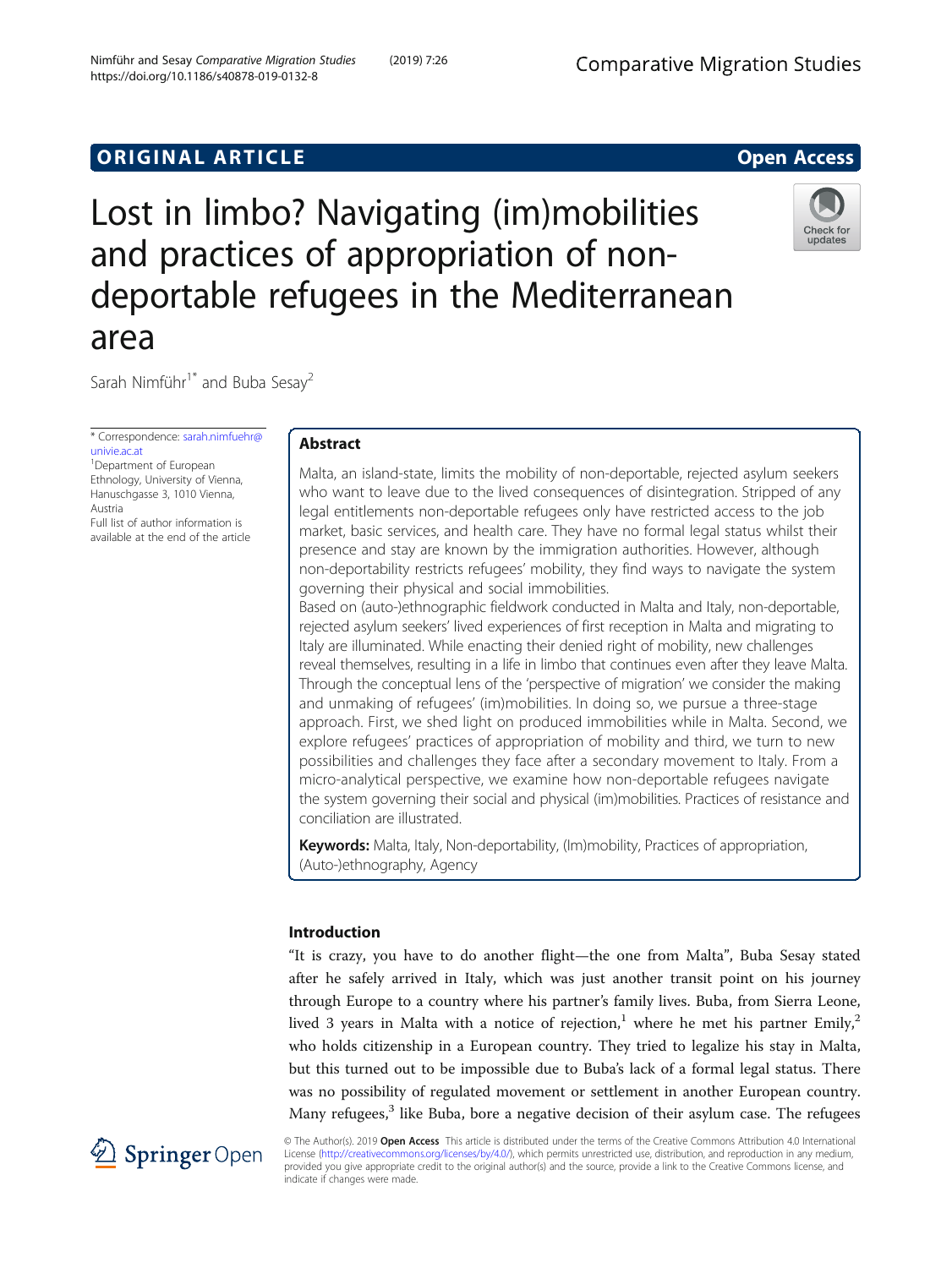# **ORIGINAL ARTICLE CONSUMING A LIGACION** CONSUMING A LIGACION CONSUMING A LIGACION CONSUMING A LIGACION CONSUMING A LIGACION CONSUMING A LIGACION CONSUMING A LIGACION CONSUMING A LIGACION CONSUMING A LIGACION CONSUMING A

# Lost in limbo? Navigating (im)mobilities and practices of appropriation of nondeportable refugees in the Mediterranean area

Sarah Nimführ<sup>1\*</sup> and Buba Sesay<sup>2</sup>

\* Correspondence: [sarah.nimfuehr@](mailto:sarah.nimfuehr@univie.ac.at) [univie.ac.at](mailto:sarah.nimfuehr@univie.ac.at) <sup>1</sup> Department of European Ethnology, University of Vienna, Hanuschgasse 3, 1010 Vienna, Austria Full list of author information is

available at the end of the article

# Abstract

Malta, an island-state, limits the mobility of non-deportable, rejected asylum seekers who want to leave due to the lived consequences of disintegration. Stripped of any legal entitlements non-deportable refugees only have restricted access to the job market, basic services, and health care. They have no formal legal status whilst their presence and stay are known by the immigration authorities. However, although non-deportability restricts refugees' mobility, they find ways to navigate the system governing their physical and social immobilities.

Based on (auto-)ethnographic fieldwork conducted in Malta and Italy, non-deportable, rejected asylum seekers' lived experiences of first reception in Malta and migrating to Italy are illuminated. While enacting their denied right of mobility, new challenges reveal themselves, resulting in a life in limbo that continues even after they leave Malta. Through the conceptual lens of the 'perspective of migration' we consider the making and unmaking of refugees' (im)mobilities. In doing so, we pursue a three-stage approach. First, we shed light on produced immobilities while in Malta. Second, we explore refugees' practices of appropriation of mobility and third, we turn to new possibilities and challenges they face after a secondary movement to Italy. From a micro-analytical perspective, we examine how non-deportable refugees navigate the system governing their social and physical (im)mobilities. Practices of resistance and conciliation are illustrated.

Keywords: Malta, Italy, Non-deportability, (Im)mobility, Practices of appropriation, (Auto-)ethnography, Agency

# Introduction

"It is crazy, you have to do another flight—the one from Malta", Buba Sesay stated after he safely arrived in Italy, which was just another transit point on his journey through Europe to a country where his partner's family lives. Buba, from Sierra Leone, lived 3 years in Malta with a notice of rejection,<sup>1</sup> where he met his partner Emily,<sup>2</sup> who holds citizenship in a European country. They tried to legalize his stay in Malta, but this turned out to be impossible due to Buba's lack of a formal legal status. There was no possibility of regulated movement or settlement in another European country. Many refugees, $3$  like Buba, bore a negative decision of their asylum case. The refugees

 $\textcircled{2}$  Springer Open

© The Author(s). 2019 Open Access This article is distributed under the terms of the Creative Commons Attribution 4.0 International License [\(http://creativecommons.org/licenses/by/4.0/](http://creativecommons.org/licenses/by/4.0/)), which permits unrestricted use, distribution, and reproduction in any medium, provided you give appropriate credit to the original author(s) and the source, provide a link to the Creative Commons license, and indicate if changes were made.



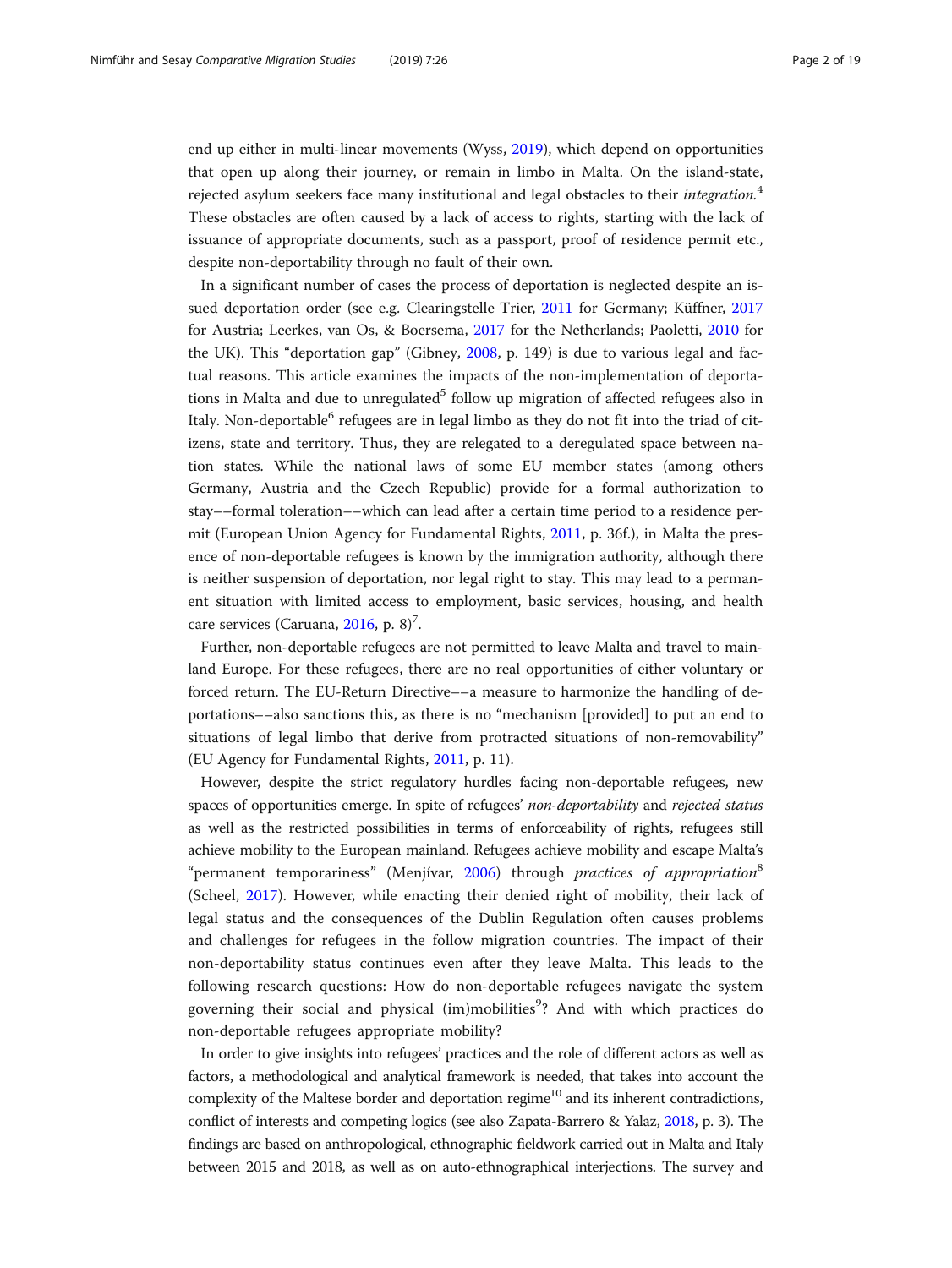end up either in multi-linear movements (Wyss, [2019\)](#page-18-0), which depend on opportunities that open up along their journey, or remain in limbo in Malta. On the island-state, rejected asylum seekers face many institutional and legal obstacles to their *integration*.<sup>4</sup> These obstacles are often caused by a lack of access to rights, starting with the lack of issuance of appropriate documents, such as a passport, proof of residence permit etc., despite non-deportability through no fault of their own.

In a significant number of cases the process of deportation is neglected despite an issued deportation order (see e.g. Clearingstelle Trier, [2011](#page-17-0) for Germany; Küffner, [2017](#page-18-0) for Austria; Leerkes, van Os, & Boersema, [2017](#page-18-0) for the Netherlands; Paoletti, [2010](#page-18-0) for the UK). This "deportation gap" (Gibney, [2008](#page-17-0), p. 149) is due to various legal and factual reasons. This article examines the impacts of the non-implementation of deportations in Malta and due to unregulated<sup>5</sup> follow up migration of affected refugees also in Italy. Non-deportable<sup>6</sup> refugees are in legal limbo as they do not fit into the triad of citizens, state and territory. Thus, they are relegated to a deregulated space between nation states. While the national laws of some EU member states (among others Germany, Austria and the Czech Republic) provide for a formal authorization to stay––formal toleration––which can lead after a certain time period to a residence permit (European Union Agency for Fundamental Rights, [2011](#page-17-0), p. 36f.), in Malta the presence of non-deportable refugees is known by the immigration authority, although there is neither suspension of deportation, nor legal right to stay. This may lead to a permanent situation with limited access to employment, basic services, housing, and health care services (Caruana,  $2016$ , p.  $8$ )<sup>7</sup>.

Further, non-deportable refugees are not permitted to leave Malta and travel to mainland Europe. For these refugees, there are no real opportunities of either voluntary or forced return. The EU-Return Directive––a measure to harmonize the handling of deportations––also sanctions this, as there is no "mechanism [provided] to put an end to situations of legal limbo that derive from protracted situations of non-removability" (EU Agency for Fundamental Rights, [2011](#page-17-0), p. 11).

However, despite the strict regulatory hurdles facing non-deportable refugees, new spaces of opportunities emerge. In spite of refugees' non-deportability and rejected status as well as the restricted possibilities in terms of enforceability of rights, refugees still achieve mobility to the European mainland. Refugees achieve mobility and escape Malta's "permanent temporariness" (Menjívar, [2006](#page-18-0)) through *practices of appropriation*<sup>8</sup> (Scheel, [2017\)](#page-18-0). However, while enacting their denied right of mobility, their lack of legal status and the consequences of the Dublin Regulation often causes problems and challenges for refugees in the follow migration countries. The impact of their non-deportability status continues even after they leave Malta. This leads to the following research questions: How do non-deportable refugees navigate the system governing their social and physical (im)mobilities<sup>9</sup>? And with which practices do non-deportable refugees appropriate mobility?

In order to give insights into refugees' practices and the role of different actors as well as factors, a methodological and analytical framework is needed, that takes into account the complexity of the Maltese border and deportation regime<sup>10</sup> and its inherent contradictions, conflict of interests and competing logics (see also Zapata-Barrero & Yalaz, [2018,](#page-18-0) p. 3). The findings are based on anthropological, ethnographic fieldwork carried out in Malta and Italy between 2015 and 2018, as well as on auto-ethnographical interjections. The survey and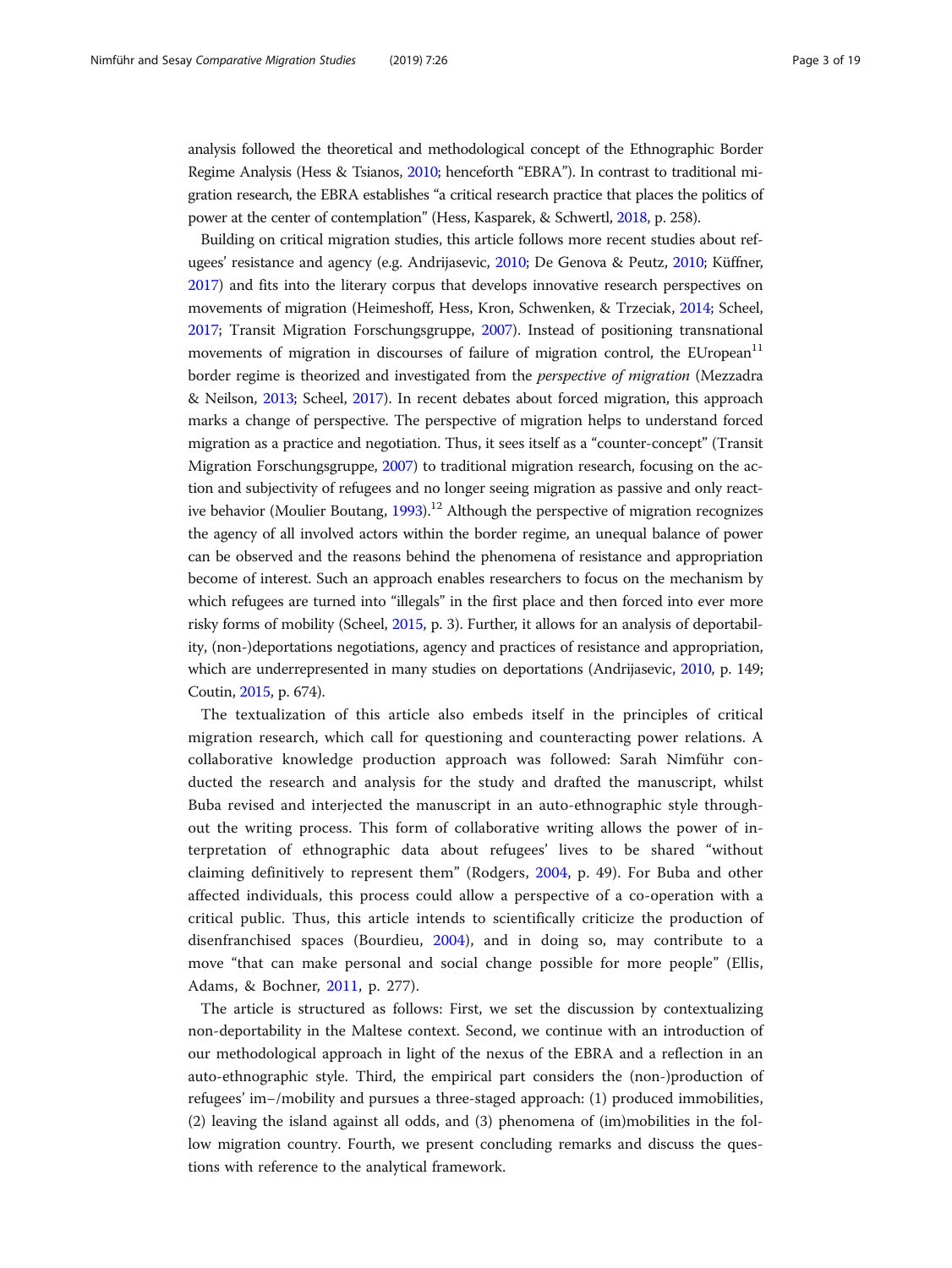analysis followed the theoretical and methodological concept of the Ethnographic Border Regime Analysis (Hess & Tsianos, [2010;](#page-17-0) henceforth "EBRA"). In contrast to traditional migration research, the EBRA establishes "a critical research practice that places the politics of power at the center of contemplation" (Hess, Kasparek, & Schwertl, [2018](#page-17-0), p. 258).

Building on critical migration studies, this article follows more recent studies about refugees' resistance and agency (e.g. Andrijasevic, [2010](#page-17-0); De Genova & Peutz, [2010](#page-17-0); Küffner, [2017\)](#page-18-0) and fits into the literary corpus that develops innovative research perspectives on movements of migration (Heimeshoff, Hess, Kron, Schwenken, & Trzeciak, [2014;](#page-17-0) Scheel, [2017;](#page-18-0) Transit Migration Forschungsgruppe, [2007\)](#page-18-0). Instead of positioning transnational movements of migration in discourses of failure of migration control, the EUropean $11$ border regime is theorized and investigated from the perspective of migration (Mezzadra & Neilson, [2013;](#page-18-0) Scheel, [2017](#page-18-0)). In recent debates about forced migration, this approach marks a change of perspective. The perspective of migration helps to understand forced migration as a practice and negotiation. Thus, it sees itself as a "counter-concept" (Transit Migration Forschungsgruppe, [2007\)](#page-18-0) to traditional migration research, focusing on the action and subjectivity of refugees and no longer seeing migration as passive and only react-ive behavior (Moulier Boutang, [1993](#page-18-0)).<sup>12</sup> Although the perspective of migration recognizes the agency of all involved actors within the border regime, an unequal balance of power can be observed and the reasons behind the phenomena of resistance and appropriation become of interest. Such an approach enables researchers to focus on the mechanism by which refugees are turned into "illegals" in the first place and then forced into ever more risky forms of mobility (Scheel, [2015,](#page-18-0) p. 3). Further, it allows for an analysis of deportability, (non-)deportations negotiations, agency and practices of resistance and appropriation, which are underrepresented in many studies on deportations (Andrijasevic, [2010](#page-17-0), p. 149; Coutin, [2015](#page-17-0), p. 674).

The textualization of this article also embeds itself in the principles of critical migration research, which call for questioning and counteracting power relations. A collaborative knowledge production approach was followed: Sarah Nimführ conducted the research and analysis for the study and drafted the manuscript, whilst Buba revised and interjected the manuscript in an auto-ethnographic style throughout the writing process. This form of collaborative writing allows the power of interpretation of ethnographic data about refugees' lives to be shared "without claiming definitively to represent them" (Rodgers, [2004](#page-18-0), p. 49). For Buba and other affected individuals, this process could allow a perspective of a co-operation with a critical public. Thus, this article intends to scientifically criticize the production of disenfranchised spaces (Bourdieu, [2004](#page-17-0)), and in doing so, may contribute to a move "that can make personal and social change possible for more people" (Ellis, Adams, & Bochner, [2011](#page-17-0), p. 277).

The article is structured as follows: First, we set the discussion by contextualizing non-deportability in the Maltese context. Second, we continue with an introduction of our methodological approach in light of the nexus of the EBRA and a reflection in an auto-ethnographic style. Third, the empirical part considers the (non-)production of refugees' im−/mobility and pursues a three-staged approach: (1) produced immobilities, (2) leaving the island against all odds, and (3) phenomena of (im)mobilities in the follow migration country. Fourth, we present concluding remarks and discuss the questions with reference to the analytical framework.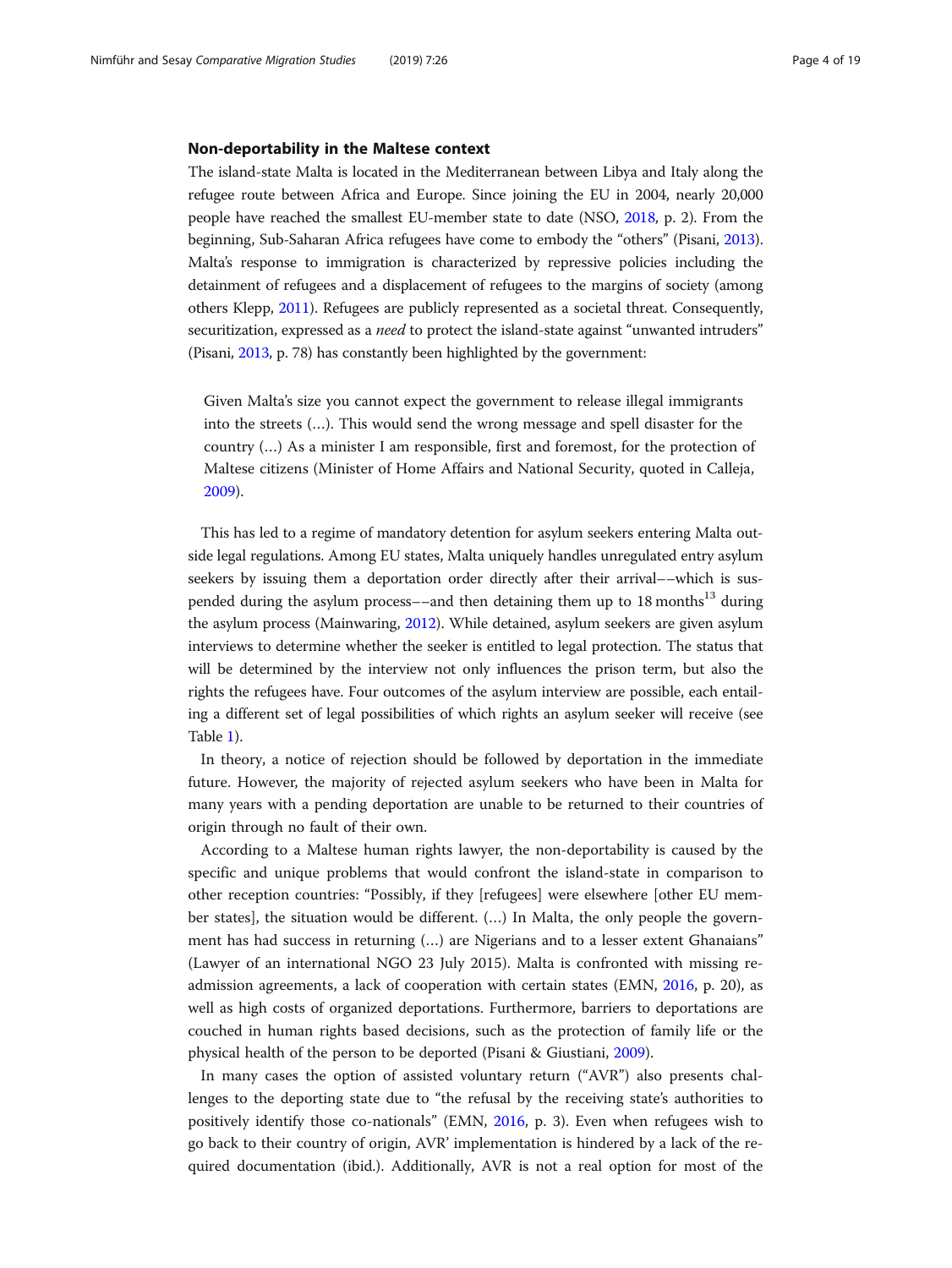# Non-deportability in the Maltese context

The island-state Malta is located in the Mediterranean between Libya and Italy along the refugee route between Africa and Europe. Since joining the EU in 2004, nearly 20,000 people have reached the smallest EU-member state to date (NSO, [2018](#page-18-0), p. 2). From the beginning, Sub-Saharan Africa refugees have come to embody the "others" (Pisani, [2013](#page-18-0)). Malta's response to immigration is characterized by repressive policies including the detainment of refugees and a displacement of refugees to the margins of society (among others Klepp, [2011\)](#page-18-0). Refugees are publicly represented as a societal threat. Consequently, securitization, expressed as a *need* to protect the island-state against "unwanted intruders" (Pisani, [2013](#page-18-0), p. 78) has constantly been highlighted by the government:

Given Malta's size you cannot expect the government to release illegal immigrants into the streets (…). This would send the wrong message and spell disaster for the country (…) As a minister I am responsible, first and foremost, for the protection of Maltese citizens (Minister of Home Affairs and National Security, quoted in Calleja, [2009](#page-17-0)).

This has led to a regime of mandatory detention for asylum seekers entering Malta outside legal regulations. Among EU states, Malta uniquely handles unregulated entry asylum seekers by issuing them a deportation order directly after their arrival––which is suspended during the asylum process--and then detaining them up to  $18$  months<sup>13</sup> during the asylum process (Mainwaring, [2012\)](#page-18-0). While detained, asylum seekers are given asylum interviews to determine whether the seeker is entitled to legal protection. The status that will be determined by the interview not only influences the prison term, but also the rights the refugees have. Four outcomes of the asylum interview are possible, each entailing a different set of legal possibilities of which rights an asylum seeker will receive (see Table [1\)](#page-4-0).

In theory, a notice of rejection should be followed by deportation in the immediate future. However, the majority of rejected asylum seekers who have been in Malta for many years with a pending deportation are unable to be returned to their countries of origin through no fault of their own.

According to a Maltese human rights lawyer, the non-deportability is caused by the specific and unique problems that would confront the island-state in comparison to other reception countries: "Possibly, if they [refugees] were elsewhere [other EU member states], the situation would be different. (…) In Malta, the only people the government has had success in returning (…) are Nigerians and to a lesser extent Ghanaians" (Lawyer of an international NGO 23 July 2015). Malta is confronted with missing readmission agreements, a lack of cooperation with certain states (EMN, [2016,](#page-17-0) p. 20), as well as high costs of organized deportations. Furthermore, barriers to deportations are couched in human rights based decisions, such as the protection of family life or the physical health of the person to be deported (Pisani & Giustiani, [2009\)](#page-18-0).

In many cases the option of assisted voluntary return ("AVR") also presents challenges to the deporting state due to "the refusal by the receiving state's authorities to positively identify those co-nationals" (EMN, [2016,](#page-17-0) p. 3). Even when refugees wish to go back to their country of origin, AVR' implementation is hindered by a lack of the required documentation (ibid.). Additionally, AVR is not a real option for most of the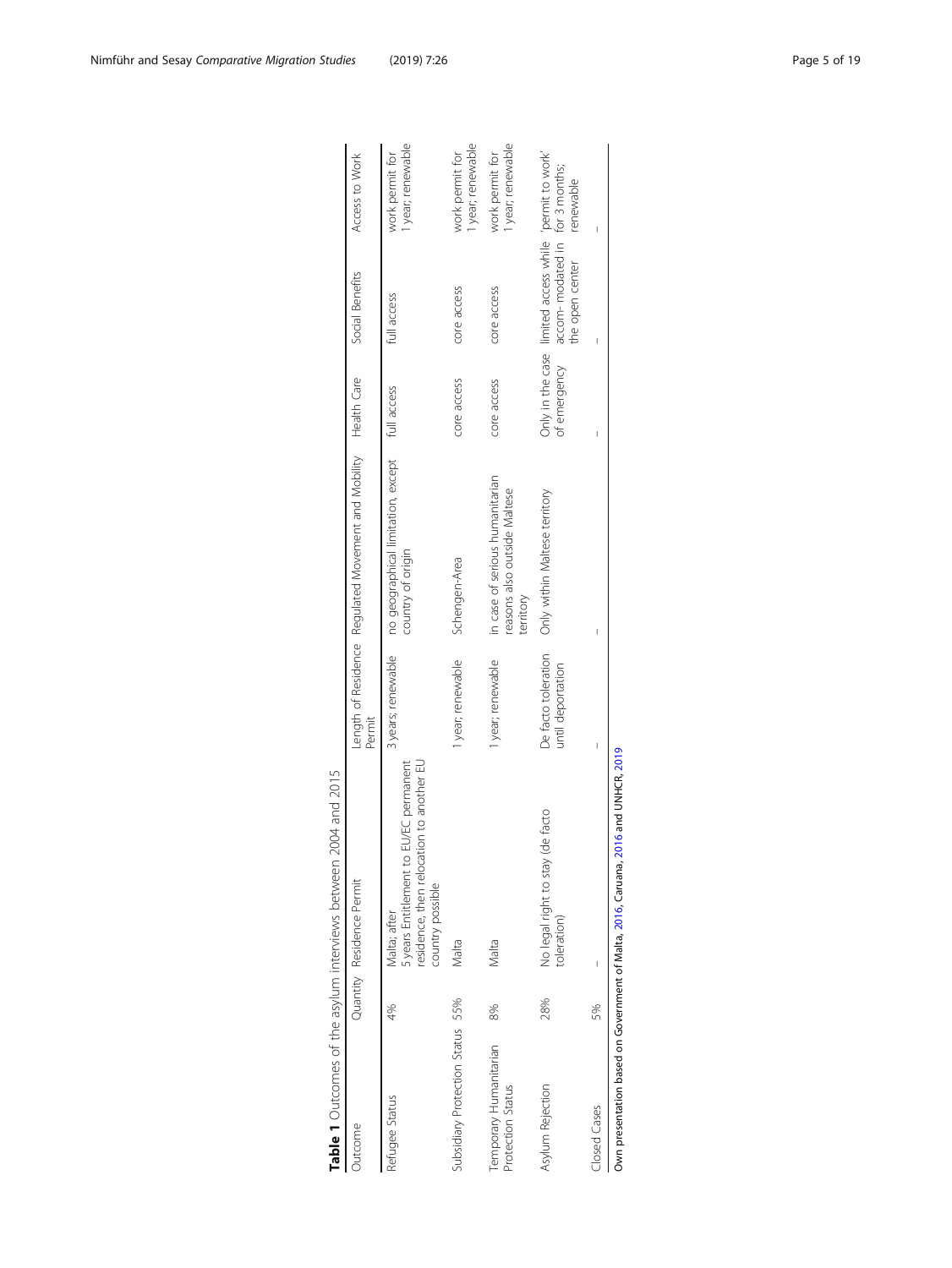<span id="page-4-0"></span>

| Outcome                                     |     | Quantity Residence Permit                                                                                                | Permit                                   | Length of Residence Regulated Movement and Mobility Health Care              |              | Social Benefits                                                                               | Access to Work                       |
|---------------------------------------------|-----|--------------------------------------------------------------------------------------------------------------------------|------------------------------------------|------------------------------------------------------------------------------|--------------|-----------------------------------------------------------------------------------------------|--------------------------------------|
| Refugee Status                              | 4%  | EU/EC permanent<br>residence, then relocation to another EU<br>syears Entitlement to<br>country possible<br>Malta; after | 3 years; renewable                       | no geographical limitation, except<br>country of origin                      | full access  | full access                                                                                   | I year; renewable<br>work permit for |
| Subsidiary Protection Status 55%            |     | Malta                                                                                                                    | 1 year; renewable                        | Schengen-Area                                                                | core access  | core access                                                                                   | year; renewable<br>work permit for   |
| Temporary Humanitarian<br>Protection Status | 8%  | Malta                                                                                                                    | 1 year; renewable                        | in case of serious humanitarian<br>reasons also outside Maltese<br>territory | core access  | core access                                                                                   | I year; renewable<br>work permit for |
| Asylum Rejection                            | 28% | (de facto<br>No legal right to stay<br>toleration)                                                                       | De facto toleration<br>until deportation | Only within Maltese territory                                                | of emergency | Only in the case limited access while 'permit to work'<br>accom-modated in<br>the open center | for 3 months;<br>renewable           |
| Closed Cases                                | 5%  |                                                                                                                          |                                          |                                                                              |              |                                                                                               |                                      |
|                                             |     | Own presentation based on Government of Malta, 2016, Caruana, 2016 and UNHCR, 2019                                       |                                          |                                                                              |              |                                                                                               |                                      |

| l<br>j<br>)                                                                                       |
|---------------------------------------------------------------------------------------------------|
| l                                                                                                 |
| Ï                                                                                                 |
| I<br>b<br>۱                                                                                       |
| I                                                                                                 |
| $\frac{1}{2}$<br>J                                                                                |
|                                                                                                   |
| I<br>J<br>ļ                                                                                       |
| ֧֧֧֢ׅ֧ׅ֧֧֧ׅ֧֦֧ׅ֧ׅ֧֧ׅ֧֧֧֧֧֧ׅ֧֧֧ׅ֧֧֧֧֧֧֧֧֧֧֧֧֧֧֧֧֚֚֚֚֚֚֚֚֚֚֚֚֚֚֚֚֚֝֝֓֜֓֝֬֜֓֜֓֜֓֝֬֜֓֜֜֓֜֝֬<br>֧֧֧֧֧֜ |
| ١                                                                                                 |
| $-1$                                                                                              |
| ï<br>١                                                                                            |
| J                                                                                                 |
| j                                                                                                 |
| I<br>l                                                                                            |
|                                                                                                   |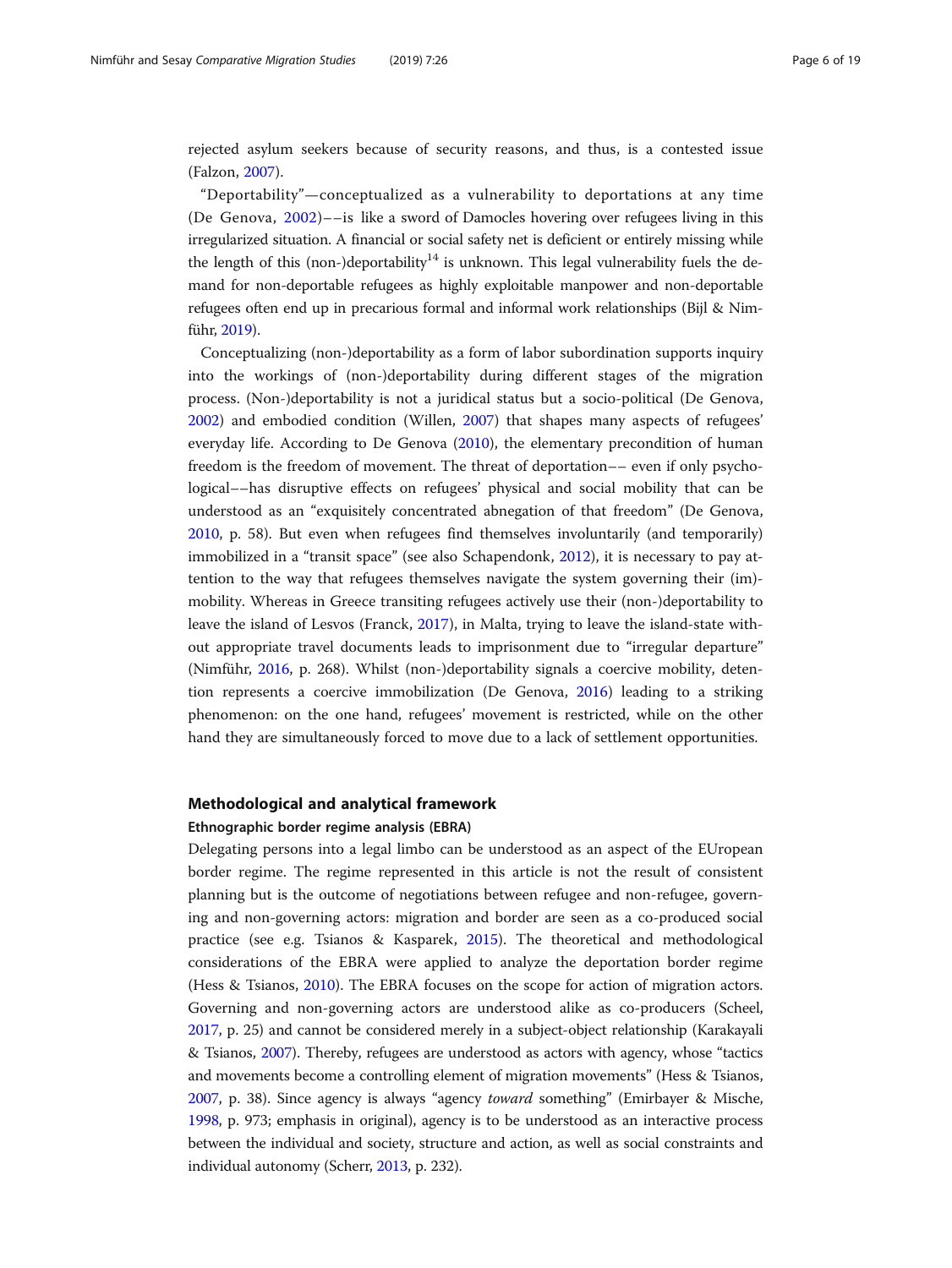rejected asylum seekers because of security reasons, and thus, is a contested issue (Falzon, [2007](#page-17-0)).

"Deportability"—conceptualized as a vulnerability to deportations at any time (De Genova, [2002\)](#page-17-0)––is like a sword of Damocles hovering over refugees living in this irregularized situation. A financial or social safety net is deficient or entirely missing while the length of this (non-)deportability<sup>14</sup> is unknown. This legal vulnerability fuels the demand for non-deportable refugees as highly exploitable manpower and non-deportable refugees often end up in precarious formal and informal work relationships (Bijl & Nimführ, [2019\)](#page-17-0).

Conceptualizing (non-)deportability as a form of labor subordination supports inquiry into the workings of (non-)deportability during different stages of the migration process. (Non-)deportability is not a juridical status but a socio-political (De Genova, [2002](#page-17-0)) and embodied condition (Willen, [2007](#page-18-0)) that shapes many aspects of refugees' everyday life. According to De Genova ([2010](#page-17-0)), the elementary precondition of human freedom is the freedom of movement. The threat of deportation–– even if only psychological––has disruptive effects on refugees' physical and social mobility that can be understood as an "exquisitely concentrated abnegation of that freedom" (De Genova, [2010](#page-17-0), p. 58). But even when refugees find themselves involuntarily (and temporarily) immobilized in a "transit space" (see also Schapendonk, [2012\)](#page-18-0), it is necessary to pay attention to the way that refugees themselves navigate the system governing their (im) mobility. Whereas in Greece transiting refugees actively use their (non-)deportability to leave the island of Lesvos (Franck, [2017](#page-17-0)), in Malta, trying to leave the island-state without appropriate travel documents leads to imprisonment due to "irregular departure" (Nimführ, [2016](#page-18-0), p. 268). Whilst (non-)deportability signals a coercive mobility, detention represents a coercive immobilization (De Genova, [2016](#page-17-0)) leading to a striking phenomenon: on the one hand, refugees' movement is restricted, while on the other hand they are simultaneously forced to move due to a lack of settlement opportunities.

# Methodological and analytical framework

# Ethnographic border regime analysis (EBRA)

Delegating persons into a legal limbo can be understood as an aspect of the EUropean border regime. The regime represented in this article is not the result of consistent planning but is the outcome of negotiations between refugee and non-refugee, governing and non-governing actors: migration and border are seen as a co-produced social practice (see e.g. Tsianos & Kasparek, [2015\)](#page-18-0). The theoretical and methodological considerations of the EBRA were applied to analyze the deportation border regime (Hess & Tsianos, [2010\)](#page-17-0). The EBRA focuses on the scope for action of migration actors. Governing and non-governing actors are understood alike as co-producers (Scheel, [2017,](#page-18-0) p. 25) and cannot be considered merely in a subject-object relationship (Karakayali & Tsianos, [2007\)](#page-18-0). Thereby, refugees are understood as actors with agency, whose "tactics and movements become a controlling element of migration movements" (Hess & Tsianos, [2007,](#page-17-0) p. 38). Since agency is always "agency toward something" (Emirbayer & Mische, [1998,](#page-17-0) p. 973; emphasis in original), agency is to be understood as an interactive process between the individual and society, structure and action, as well as social constraints and individual autonomy (Scherr, [2013](#page-18-0), p. 232).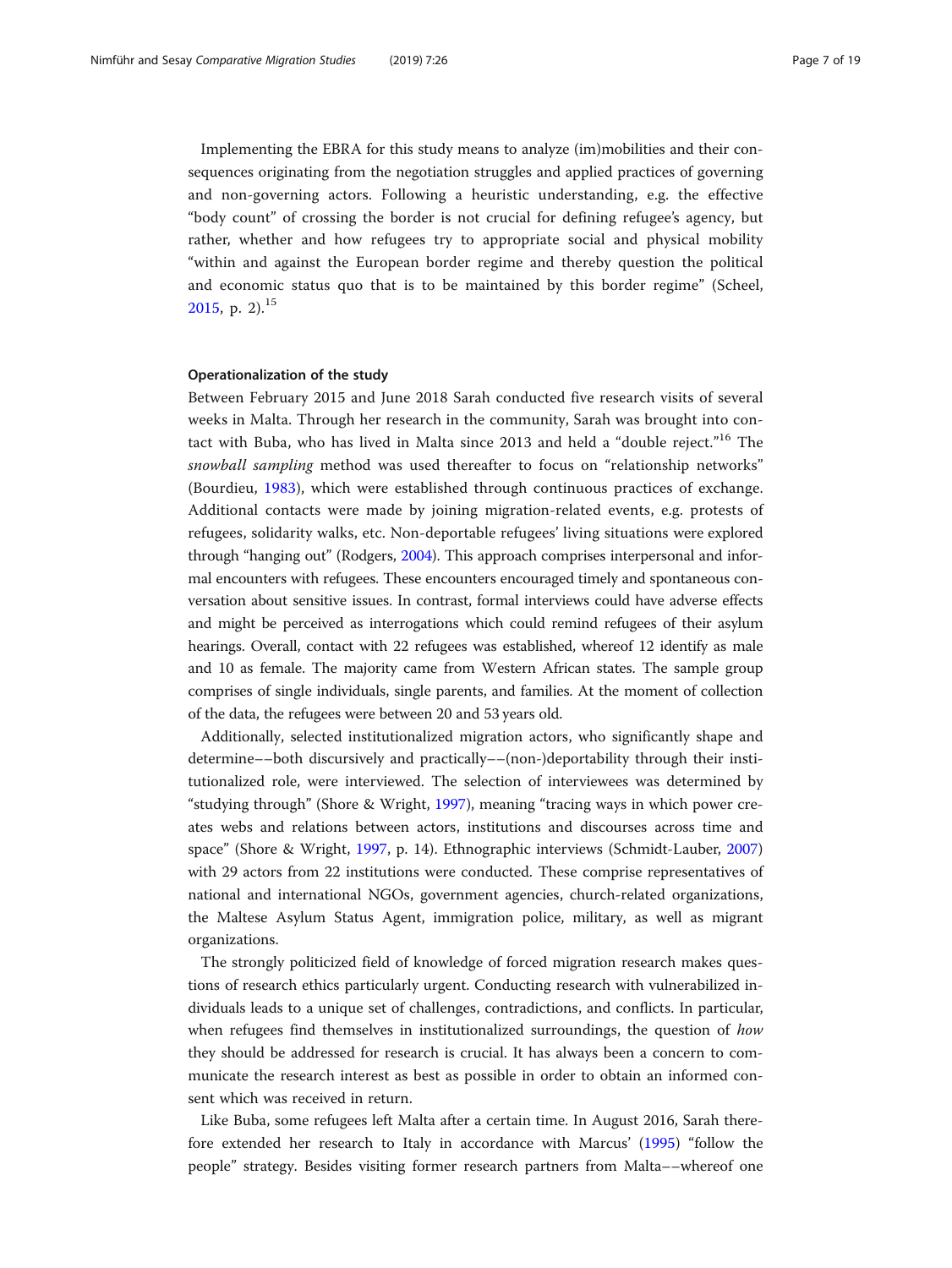Implementing the EBRA for this study means to analyze (im)mobilities and their consequences originating from the negotiation struggles and applied practices of governing and non-governing actors. Following a heuristic understanding, e.g. the effective "body count" of crossing the border is not crucial for defining refugee's agency, but rather, whether and how refugees try to appropriate social and physical mobility "within and against the European border regime and thereby question the political and economic status quo that is to be maintained by this border regime" (Scheel, [2015,](#page-18-0) p. 2). $^{15}$ 

# Operationalization of the study

Between February 2015 and June 2018 Sarah conducted five research visits of several weeks in Malta. Through her research in the community, Sarah was brought into contact with Buba, who has lived in Malta since 2013 and held a "double reject."<sup>16</sup> The snowball sampling method was used thereafter to focus on "relationship networks" (Bourdieu, [1983](#page-17-0)), which were established through continuous practices of exchange. Additional contacts were made by joining migration-related events, e.g. protests of refugees, solidarity walks, etc. Non-deportable refugees' living situations were explored through "hanging out" (Rodgers, [2004](#page-18-0)). This approach comprises interpersonal and informal encounters with refugees. These encounters encouraged timely and spontaneous conversation about sensitive issues. In contrast, formal interviews could have adverse effects and might be perceived as interrogations which could remind refugees of their asylum hearings. Overall, contact with 22 refugees was established, whereof 12 identify as male and 10 as female. The majority came from Western African states. The sample group comprises of single individuals, single parents, and families. At the moment of collection of the data, the refugees were between 20 and 53 years old.

Additionally, selected institutionalized migration actors, who significantly shape and determine––both discursively and practically––(non-)deportability through their institutionalized role, were interviewed. The selection of interviewees was determined by "studying through" (Shore & Wright, [1997\)](#page-18-0), meaning "tracing ways in which power creates webs and relations between actors, institutions and discourses across time and space" (Shore & Wright, [1997](#page-18-0), p. 14). Ethnographic interviews (Schmidt-Lauber, [2007](#page-18-0)) with 29 actors from 22 institutions were conducted. These comprise representatives of national and international NGOs, government agencies, church-related organizations, the Maltese Asylum Status Agent, immigration police, military, as well as migrant organizations.

The strongly politicized field of knowledge of forced migration research makes questions of research ethics particularly urgent. Conducting research with vulnerabilized individuals leads to a unique set of challenges, contradictions, and conflicts. In particular, when refugees find themselves in institutionalized surroundings, the question of *how* they should be addressed for research is crucial. It has always been a concern to communicate the research interest as best as possible in order to obtain an informed consent which was received in return.

Like Buba, some refugees left Malta after a certain time. In August 2016, Sarah therefore extended her research to Italy in accordance with Marcus' [\(1995\)](#page-18-0) "follow the people" strategy. Besides visiting former research partners from Malta––whereof one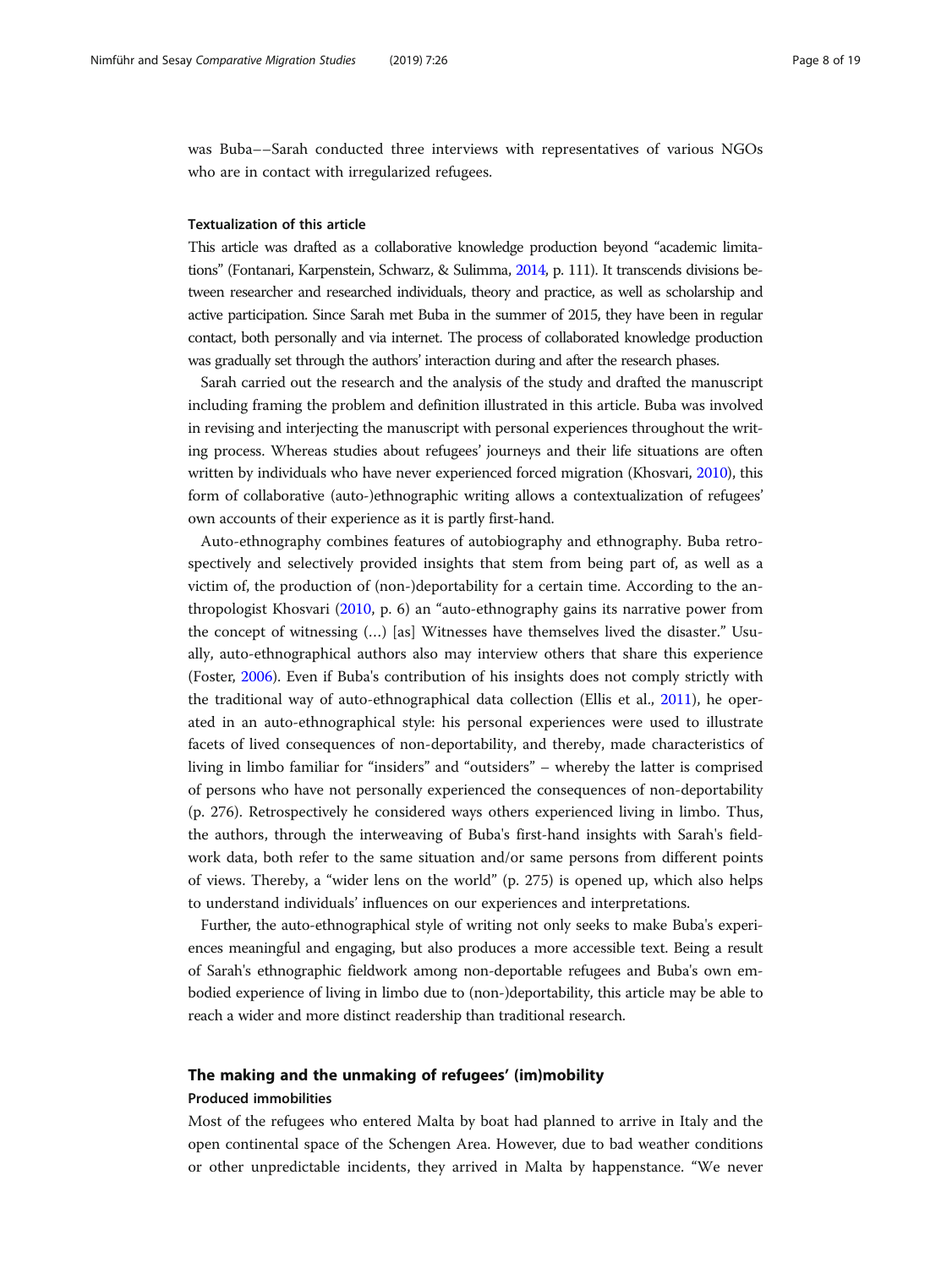was Buba––Sarah conducted three interviews with representatives of various NGOs who are in contact with irregularized refugees.

# Textualization of this article

This article was drafted as a collaborative knowledge production beyond "academic limitations" (Fontanari, Karpenstein, Schwarz, & Sulimma, [2014](#page-17-0), p. 111). It transcends divisions between researcher and researched individuals, theory and practice, as well as scholarship and active participation. Since Sarah met Buba in the summer of 2015, they have been in regular contact, both personally and via internet. The process of collaborated knowledge production was gradually set through the authors' interaction during and after the research phases.

Sarah carried out the research and the analysis of the study and drafted the manuscript including framing the problem and definition illustrated in this article. Buba was involved in revising and interjecting the manuscript with personal experiences throughout the writing process. Whereas studies about refugees' journeys and their life situations are often written by individuals who have never experienced forced migration (Khosvari, [2010](#page-18-0)), this form of collaborative (auto-)ethnographic writing allows a contextualization of refugees' own accounts of their experience as it is partly first-hand.

Auto-ethnography combines features of autobiography and ethnography. Buba retrospectively and selectively provided insights that stem from being part of, as well as a victim of, the production of (non-)deportability for a certain time. According to the anthropologist Khosvari ([2010](#page-18-0), p. 6) an "auto-ethnography gains its narrative power from the concept of witnessing (…) [as] Witnesses have themselves lived the disaster." Usually, auto-ethnographical authors also may interview others that share this experience (Foster, [2006\)](#page-17-0). Even if Buba's contribution of his insights does not comply strictly with the traditional way of auto-ethnographical data collection (Ellis et al., [2011](#page-17-0)), he operated in an auto-ethnographical style: his personal experiences were used to illustrate facets of lived consequences of non-deportability, and thereby, made characteristics of living in limbo familiar for "insiders" and "outsiders" – whereby the latter is comprised of persons who have not personally experienced the consequences of non-deportability (p. 276). Retrospectively he considered ways others experienced living in limbo. Thus, the authors, through the interweaving of Buba's first-hand insights with Sarah's fieldwork data, both refer to the same situation and/or same persons from different points of views. Thereby, a "wider lens on the world" (p. 275) is opened up, which also helps to understand individuals' influences on our experiences and interpretations.

Further, the auto-ethnographical style of writing not only seeks to make Buba's experiences meaningful and engaging, but also produces a more accessible text. Being a result of Sarah's ethnographic fieldwork among non-deportable refugees and Buba's own embodied experience of living in limbo due to (non-)deportability, this article may be able to reach a wider and more distinct readership than traditional research.

# The making and the unmaking of refugees' (im)mobility

# Produced immobilities

Most of the refugees who entered Malta by boat had planned to arrive in Italy and the open continental space of the Schengen Area. However, due to bad weather conditions or other unpredictable incidents, they arrived in Malta by happenstance. "We never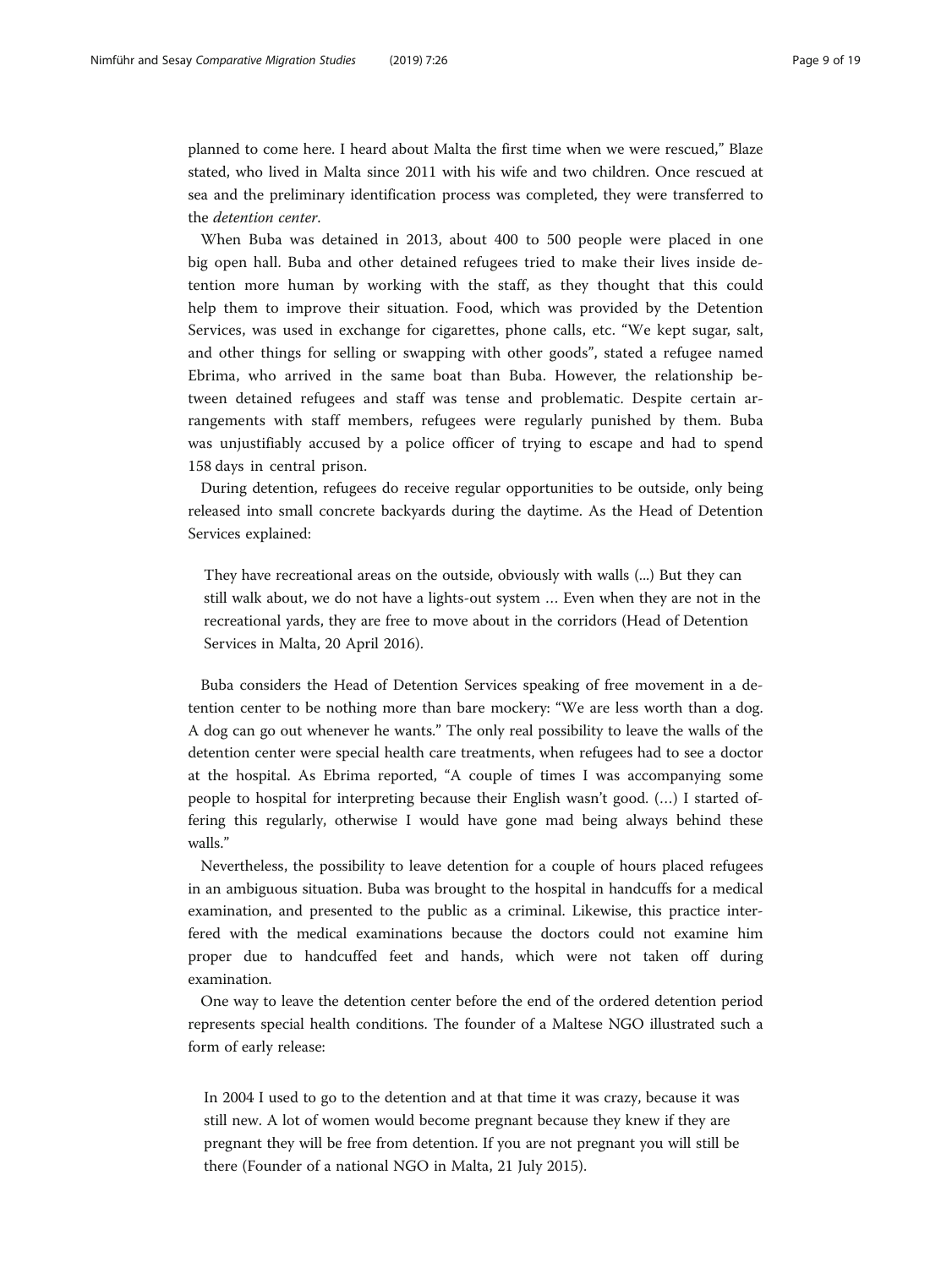planned to come here. I heard about Malta the first time when we were rescued," Blaze stated, who lived in Malta since 2011 with his wife and two children. Once rescued at sea and the preliminary identification process was completed, they were transferred to the detention center.

When Buba was detained in 2013, about 400 to 500 people were placed in one big open hall. Buba and other detained refugees tried to make their lives inside detention more human by working with the staff, as they thought that this could help them to improve their situation. Food, which was provided by the Detention Services, was used in exchange for cigarettes, phone calls, etc. "We kept sugar, salt, and other things for selling or swapping with other goods", stated a refugee named Ebrima, who arrived in the same boat than Buba. However, the relationship between detained refugees and staff was tense and problematic. Despite certain arrangements with staff members, refugees were regularly punished by them. Buba was unjustifiably accused by a police officer of trying to escape and had to spend 158 days in central prison.

During detention, refugees do receive regular opportunities to be outside, only being released into small concrete backyards during the daytime. As the Head of Detention Services explained:

They have recreational areas on the outside, obviously with walls (...) But they can still walk about, we do not have a lights-out system … Even when they are not in the recreational yards, they are free to move about in the corridors (Head of Detention Services in Malta, 20 April 2016).

Buba considers the Head of Detention Services speaking of free movement in a detention center to be nothing more than bare mockery: "We are less worth than a dog. A dog can go out whenever he wants." The only real possibility to leave the walls of the detention center were special health care treatments, when refugees had to see a doctor at the hospital. As Ebrima reported, "A couple of times I was accompanying some people to hospital for interpreting because their English wasn't good. (…) I started offering this regularly, otherwise I would have gone mad being always behind these walls."

Nevertheless, the possibility to leave detention for a couple of hours placed refugees in an ambiguous situation. Buba was brought to the hospital in handcuffs for a medical examination, and presented to the public as a criminal. Likewise, this practice interfered with the medical examinations because the doctors could not examine him proper due to handcuffed feet and hands, which were not taken off during examination.

One way to leave the detention center before the end of the ordered detention period represents special health conditions. The founder of a Maltese NGO illustrated such a form of early release:

In 2004 I used to go to the detention and at that time it was crazy, because it was still new. A lot of women would become pregnant because they knew if they are pregnant they will be free from detention. If you are not pregnant you will still be there (Founder of a national NGO in Malta, 21 July 2015).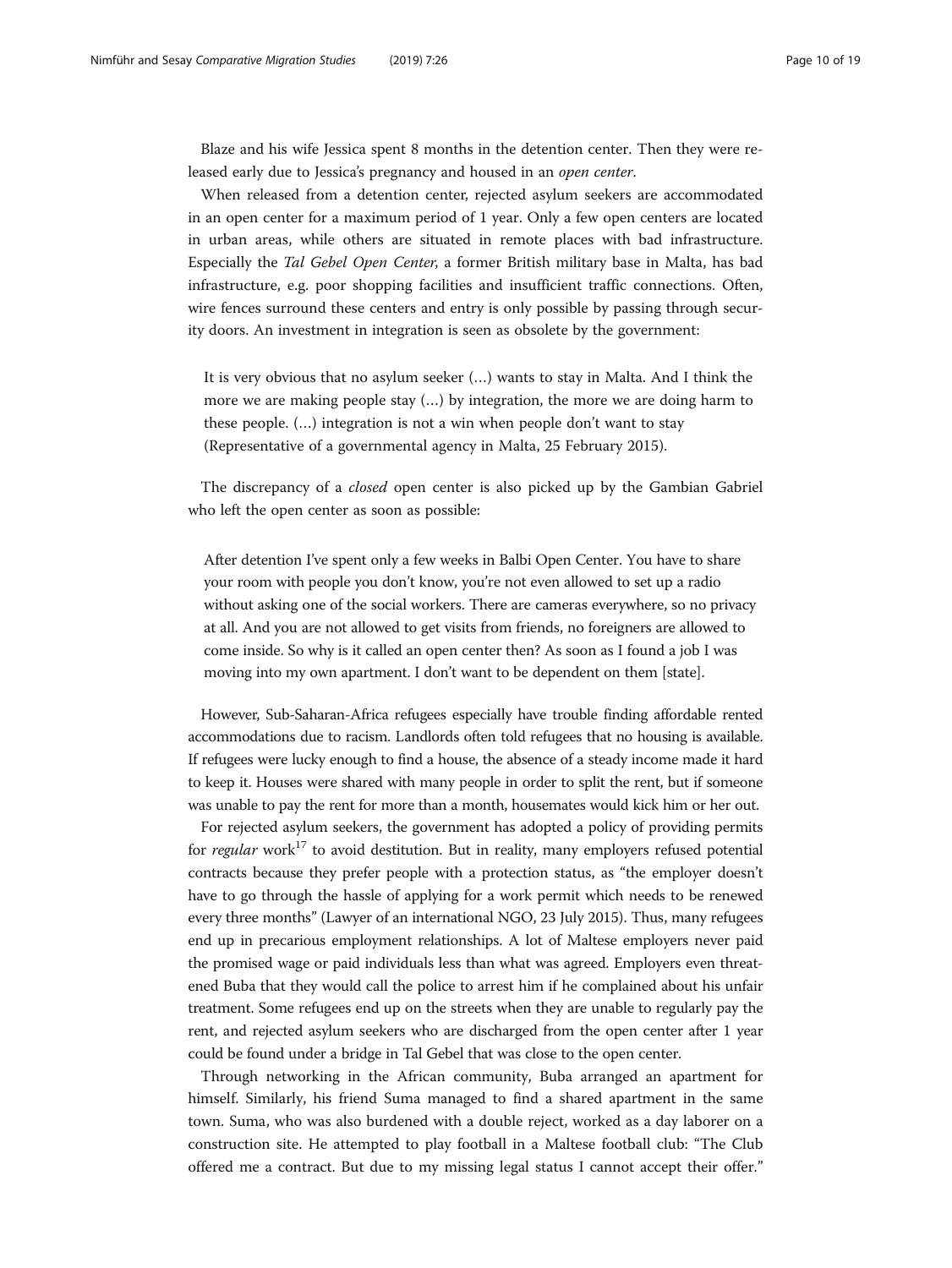Blaze and his wife Jessica spent 8 months in the detention center. Then they were released early due to Jessica's pregnancy and housed in an open center.

When released from a detention center, rejected asylum seekers are accommodated in an open center for a maximum period of 1 year. Only a few open centers are located in urban areas, while others are situated in remote places with bad infrastructure. Especially the Tal Gebel Open Center, a former British military base in Malta, has bad infrastructure, e.g. poor shopping facilities and insufficient traffic connections. Often, wire fences surround these centers and entry is only possible by passing through security doors. An investment in integration is seen as obsolete by the government:

It is very obvious that no asylum seeker (…) wants to stay in Malta. And I think the more we are making people stay (…) by integration, the more we are doing harm to these people. (…) integration is not a win when people don't want to stay (Representative of a governmental agency in Malta, 25 February 2015).

The discrepancy of a closed open center is also picked up by the Gambian Gabriel who left the open center as soon as possible:

After detention I've spent only a few weeks in Balbi Open Center. You have to share your room with people you don't know, you're not even allowed to set up a radio without asking one of the social workers. There are cameras everywhere, so no privacy at all. And you are not allowed to get visits from friends, no foreigners are allowed to come inside. So why is it called an open center then? As soon as I found a job I was moving into my own apartment. I don't want to be dependent on them [state].

However, Sub-Saharan-Africa refugees especially have trouble finding affordable rented accommodations due to racism. Landlords often told refugees that no housing is available. If refugees were lucky enough to find a house, the absence of a steady income made it hard to keep it. Houses were shared with many people in order to split the rent, but if someone was unable to pay the rent for more than a month, housemates would kick him or her out.

For rejected asylum seekers, the government has adopted a policy of providing permits for regular work $17$  to avoid destitution. But in reality, many employers refused potential contracts because they prefer people with a protection status, as "the employer doesn't have to go through the hassle of applying for a work permit which needs to be renewed every three months" (Lawyer of an international NGO, 23 July 2015). Thus, many refugees end up in precarious employment relationships. A lot of Maltese employers never paid the promised wage or paid individuals less than what was agreed. Employers even threatened Buba that they would call the police to arrest him if he complained about his unfair treatment. Some refugees end up on the streets when they are unable to regularly pay the rent, and rejected asylum seekers who are discharged from the open center after 1 year could be found under a bridge in Tal Gebel that was close to the open center.

Through networking in the African community, Buba arranged an apartment for himself. Similarly, his friend Suma managed to find a shared apartment in the same town. Suma, who was also burdened with a double reject, worked as a day laborer on a construction site. He attempted to play football in a Maltese football club: "The Club offered me a contract. But due to my missing legal status I cannot accept their offer."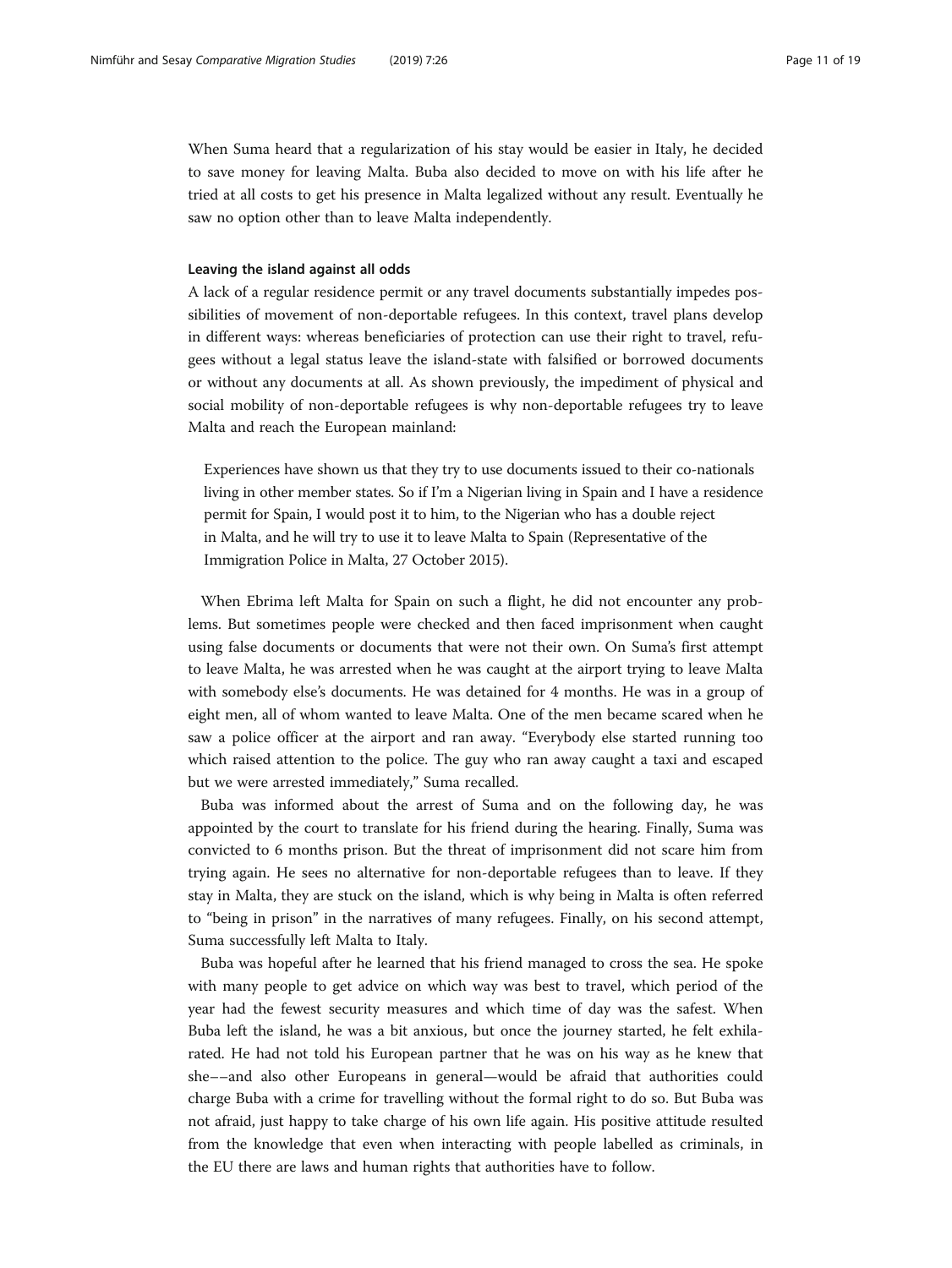When Suma heard that a regularization of his stay would be easier in Italy, he decided to save money for leaving Malta. Buba also decided to move on with his life after he tried at all costs to get his presence in Malta legalized without any result. Eventually he saw no option other than to leave Malta independently.

# Leaving the island against all odds

A lack of a regular residence permit or any travel documents substantially impedes possibilities of movement of non-deportable refugees. In this context, travel plans develop in different ways: whereas beneficiaries of protection can use their right to travel, refugees without a legal status leave the island-state with falsified or borrowed documents or without any documents at all. As shown previously, the impediment of physical and social mobility of non-deportable refugees is why non-deportable refugees try to leave Malta and reach the European mainland:

Experiences have shown us that they try to use documents issued to their co-nationals living in other member states. So if I'm a Nigerian living in Spain and I have a residence permit for Spain, I would post it to him, to the Nigerian who has a double reject in Malta, and he will try to use it to leave Malta to Spain (Representative of the Immigration Police in Malta, 27 October 2015).

When Ebrima left Malta for Spain on such a flight, he did not encounter any problems. But sometimes people were checked and then faced imprisonment when caught using false documents or documents that were not their own. On Suma's first attempt to leave Malta, he was arrested when he was caught at the airport trying to leave Malta with somebody else's documents. He was detained for 4 months. He was in a group of eight men, all of whom wanted to leave Malta. One of the men became scared when he saw a police officer at the airport and ran away. "Everybody else started running too which raised attention to the police. The guy who ran away caught a taxi and escaped but we were arrested immediately," Suma recalled.

Buba was informed about the arrest of Suma and on the following day, he was appointed by the court to translate for his friend during the hearing. Finally, Suma was convicted to 6 months prison. But the threat of imprisonment did not scare him from trying again. He sees no alternative for non-deportable refugees than to leave. If they stay in Malta, they are stuck on the island, which is why being in Malta is often referred to "being in prison" in the narratives of many refugees. Finally, on his second attempt, Suma successfully left Malta to Italy.

Buba was hopeful after he learned that his friend managed to cross the sea. He spoke with many people to get advice on which way was best to travel, which period of the year had the fewest security measures and which time of day was the safest. When Buba left the island, he was a bit anxious, but once the journey started, he felt exhilarated. He had not told his European partner that he was on his way as he knew that she––and also other Europeans in general—would be afraid that authorities could charge Buba with a crime for travelling without the formal right to do so. But Buba was not afraid, just happy to take charge of his own life again. His positive attitude resulted from the knowledge that even when interacting with people labelled as criminals, in the EU there are laws and human rights that authorities have to follow.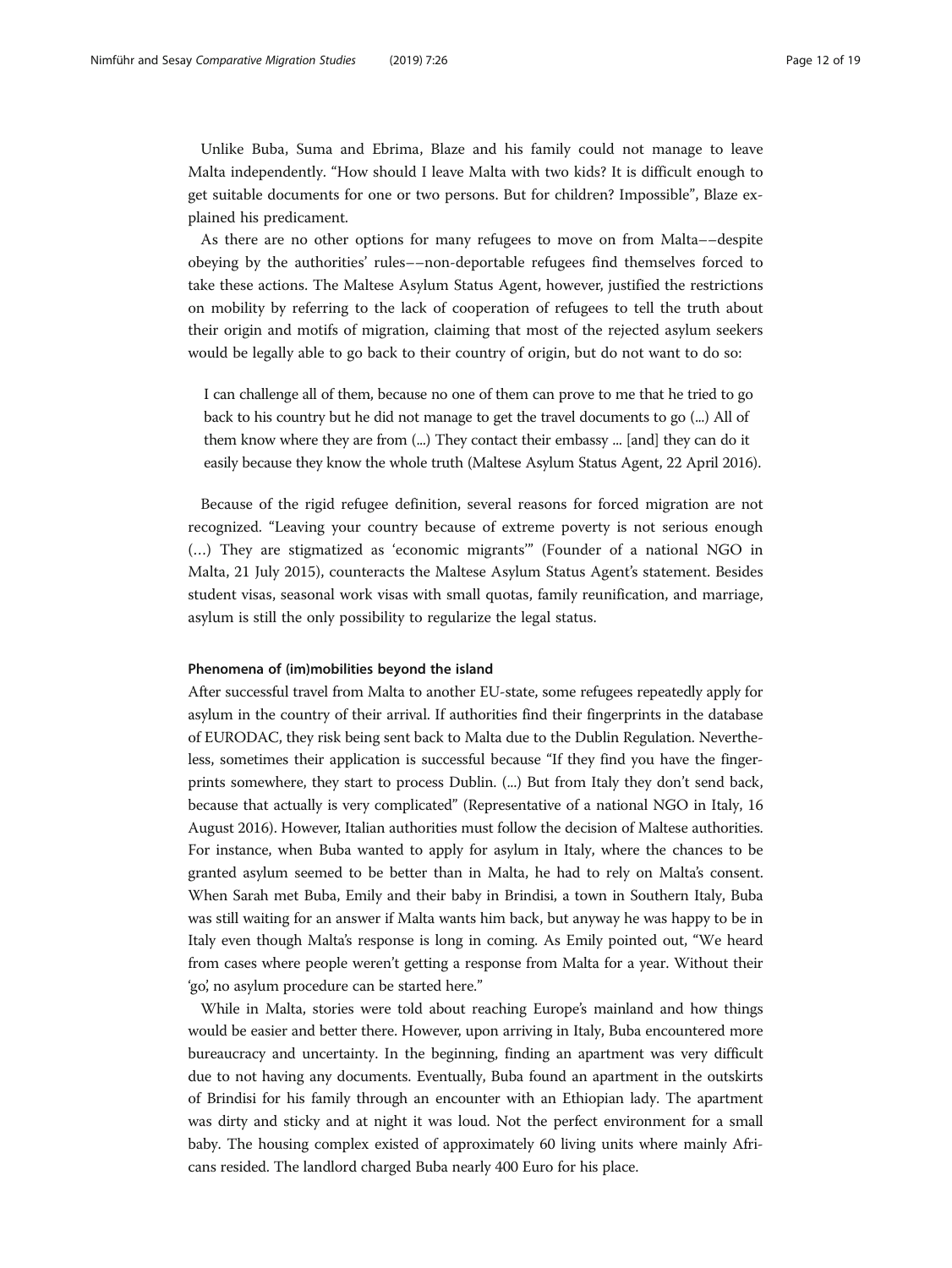Unlike Buba, Suma and Ebrima, Blaze and his family could not manage to leave Malta independently. "How should I leave Malta with two kids? It is difficult enough to get suitable documents for one or two persons. But for children? Impossible", Blaze explained his predicament.

As there are no other options for many refugees to move on from Malta––despite obeying by the authorities' rules––non-deportable refugees find themselves forced to take these actions. The Maltese Asylum Status Agent, however, justified the restrictions on mobility by referring to the lack of cooperation of refugees to tell the truth about their origin and motifs of migration, claiming that most of the rejected asylum seekers would be legally able to go back to their country of origin, but do not want to do so:

I can challenge all of them, because no one of them can prove to me that he tried to go back to his country but he did not manage to get the travel documents to go (...) All of them know where they are from (...) They contact their embassy ... [and] they can do it easily because they know the whole truth (Maltese Asylum Status Agent, 22 April 2016).

Because of the rigid refugee definition, several reasons for forced migration are not recognized. "Leaving your country because of extreme poverty is not serious enough (…) They are stigmatized as 'economic migrants'" (Founder of a national NGO in Malta, 21 July 2015), counteracts the Maltese Asylum Status Agent's statement. Besides student visas, seasonal work visas with small quotas, family reunification, and marriage, asylum is still the only possibility to regularize the legal status.

# Phenomena of (im)mobilities beyond the island

After successful travel from Malta to another EU-state, some refugees repeatedly apply for asylum in the country of their arrival. If authorities find their fingerprints in the database of EURODAC, they risk being sent back to Malta due to the Dublin Regulation. Nevertheless, sometimes their application is successful because "If they find you have the fingerprints somewhere, they start to process Dublin. (...) But from Italy they don't send back, because that actually is very complicated" (Representative of a national NGO in Italy, 16 August 2016). However, Italian authorities must follow the decision of Maltese authorities. For instance, when Buba wanted to apply for asylum in Italy, where the chances to be granted asylum seemed to be better than in Malta, he had to rely on Malta's consent. When Sarah met Buba, Emily and their baby in Brindisi, a town in Southern Italy, Buba was still waiting for an answer if Malta wants him back, but anyway he was happy to be in Italy even though Malta's response is long in coming. As Emily pointed out, "We heard from cases where people weren't getting a response from Malta for a year. Without their 'go', no asylum procedure can be started here."

While in Malta, stories were told about reaching Europe's mainland and how things would be easier and better there. However, upon arriving in Italy, Buba encountered more bureaucracy and uncertainty. In the beginning, finding an apartment was very difficult due to not having any documents. Eventually, Buba found an apartment in the outskirts of Brindisi for his family through an encounter with an Ethiopian lady. The apartment was dirty and sticky and at night it was loud. Not the perfect environment for a small baby. The housing complex existed of approximately 60 living units where mainly Africans resided. The landlord charged Buba nearly 400 Euro for his place.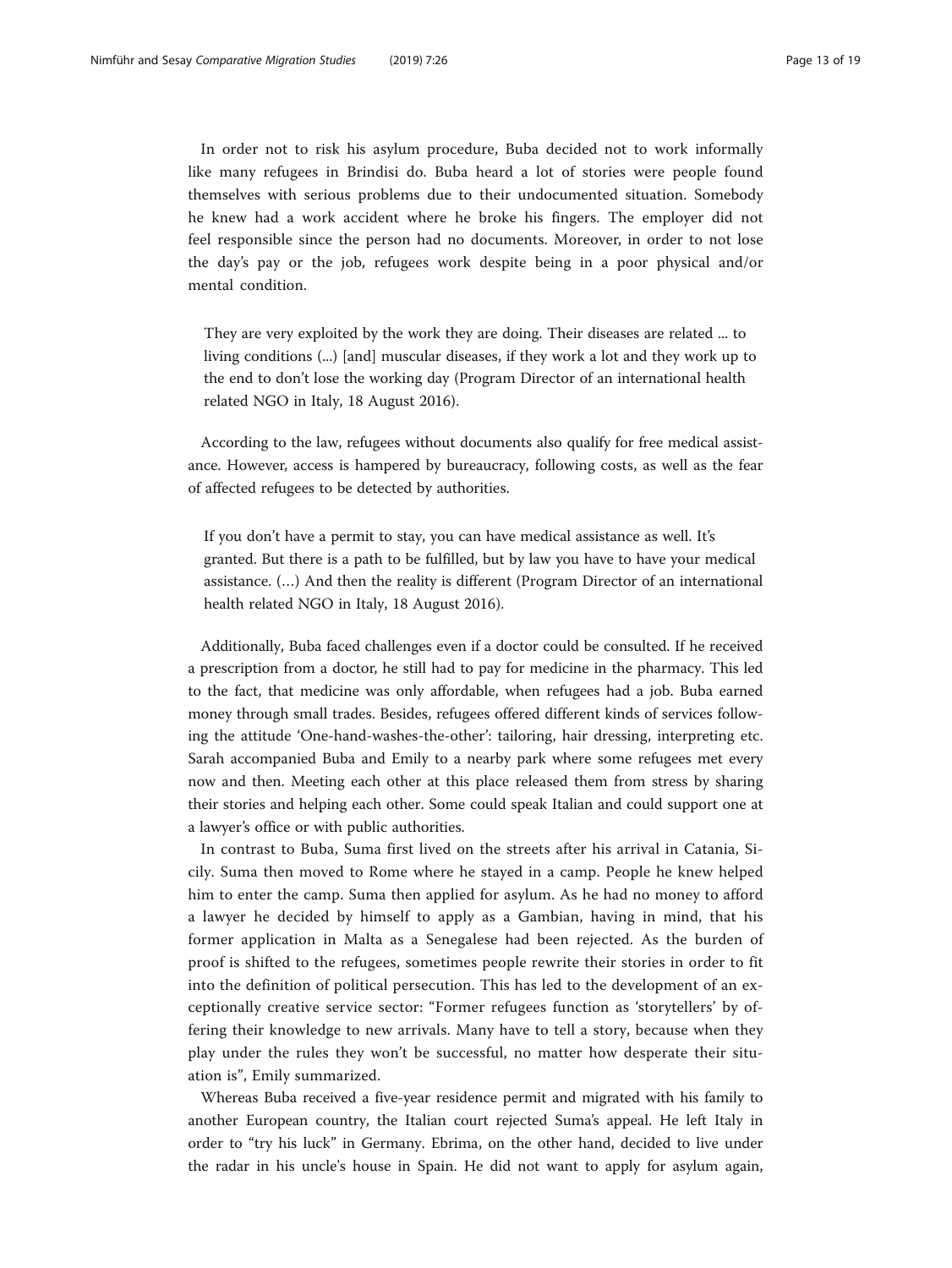In order not to risk his asylum procedure, Buba decided not to work informally like many refugees in Brindisi do. Buba heard a lot of stories were people found themselves with serious problems due to their undocumented situation. Somebody he knew had a work accident where he broke his fingers. The employer did not feel responsible since the person had no documents. Moreover, in order to not lose the day's pay or the job, refugees work despite being in a poor physical and/or mental condition.

They are very exploited by the work they are doing. Their diseases are related ... to living conditions (...) [and] muscular diseases, if they work a lot and they work up to the end to don't lose the working day (Program Director of an international health related NGO in Italy, 18 August 2016).

According to the law, refugees without documents also qualify for free medical assistance. However, access is hampered by bureaucracy, following costs, as well as the fear of affected refugees to be detected by authorities.

If you don't have a permit to stay, you can have medical assistance as well. It's granted. But there is a path to be fulfilled, but by law you have to have your medical assistance. (…) And then the reality is different (Program Director of an international health related NGO in Italy, 18 August 2016).

Additionally, Buba faced challenges even if a doctor could be consulted. If he received a prescription from a doctor, he still had to pay for medicine in the pharmacy. This led to the fact, that medicine was only affordable, when refugees had a job. Buba earned money through small trades. Besides, refugees offered different kinds of services following the attitude 'One-hand-washes-the-other': tailoring, hair dressing, interpreting etc. Sarah accompanied Buba and Emily to a nearby park where some refugees met every now and then. Meeting each other at this place released them from stress by sharing their stories and helping each other. Some could speak Italian and could support one at a lawyer's office or with public authorities.

In contrast to Buba, Suma first lived on the streets after his arrival in Catania, Sicily. Suma then moved to Rome where he stayed in a camp. People he knew helped him to enter the camp. Suma then applied for asylum. As he had no money to afford a lawyer he decided by himself to apply as a Gambian, having in mind, that his former application in Malta as a Senegalese had been rejected. As the burden of proof is shifted to the refugees, sometimes people rewrite their stories in order to fit into the definition of political persecution. This has led to the development of an exceptionally creative service sector: "Former refugees function as 'storytellers' by offering their knowledge to new arrivals. Many have to tell a story, because when they play under the rules they won't be successful, no matter how desperate their situation is", Emily summarized.

Whereas Buba received a five-year residence permit and migrated with his family to another European country, the Italian court rejected Suma's appeal. He left Italy in order to "try his luck" in Germany. Ebrima, on the other hand, decided to live under the radar in his uncle's house in Spain. He did not want to apply for asylum again,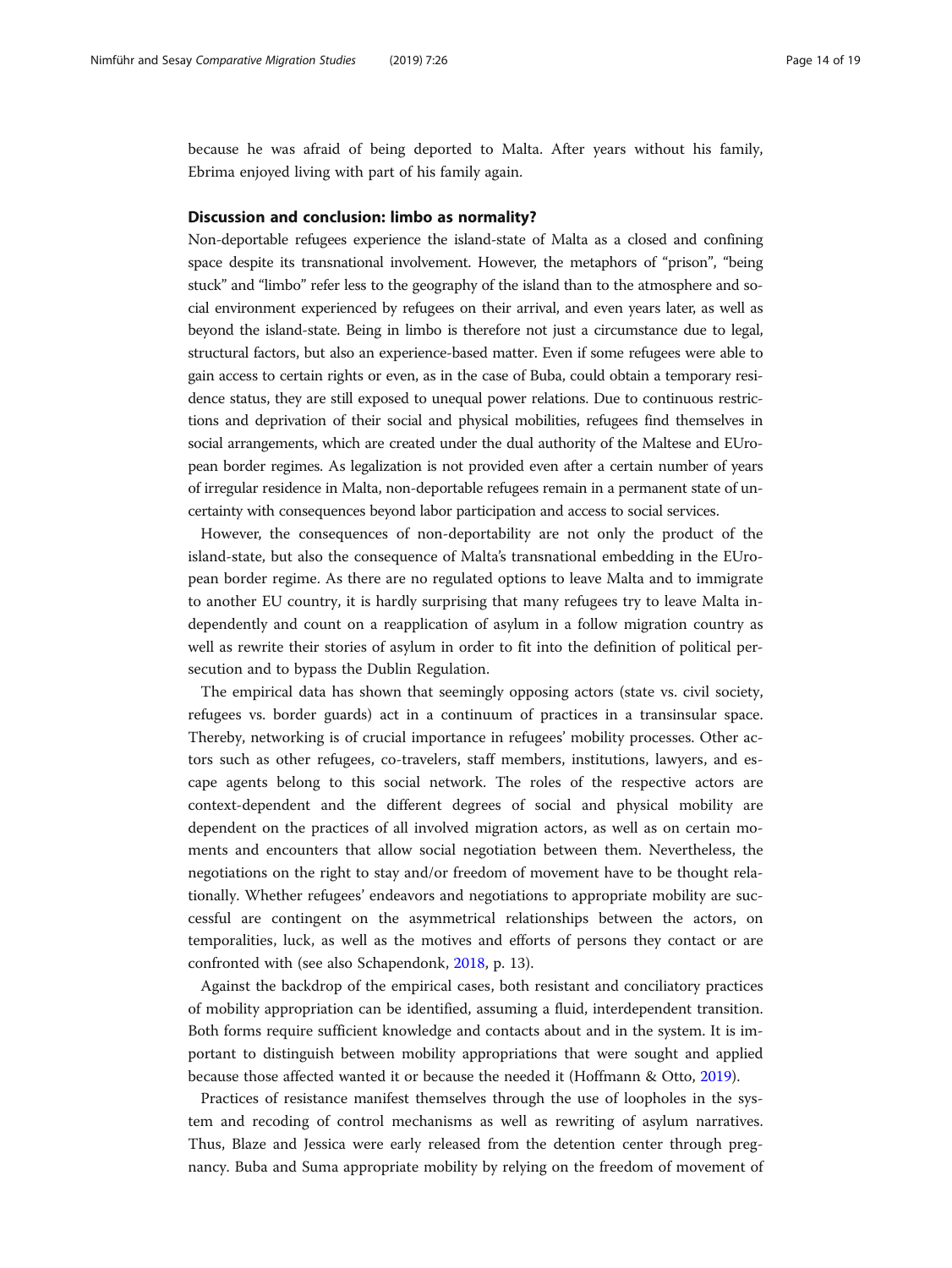because he was afraid of being deported to Malta. After years without his family, Ebrima enjoyed living with part of his family again.

# Discussion and conclusion: limbo as normality?

Non-deportable refugees experience the island-state of Malta as a closed and confining space despite its transnational involvement. However, the metaphors of "prison", "being stuck" and "limbo" refer less to the geography of the island than to the atmosphere and social environment experienced by refugees on their arrival, and even years later, as well as beyond the island-state. Being in limbo is therefore not just a circumstance due to legal, structural factors, but also an experience-based matter. Even if some refugees were able to gain access to certain rights or even, as in the case of Buba, could obtain a temporary residence status, they are still exposed to unequal power relations. Due to continuous restrictions and deprivation of their social and physical mobilities, refugees find themselves in social arrangements, which are created under the dual authority of the Maltese and EUropean border regimes. As legalization is not provided even after a certain number of years of irregular residence in Malta, non-deportable refugees remain in a permanent state of uncertainty with consequences beyond labor participation and access to social services.

However, the consequences of non-deportability are not only the product of the island-state, but also the consequence of Malta's transnational embedding in the EUropean border regime. As there are no regulated options to leave Malta and to immigrate to another EU country, it is hardly surprising that many refugees try to leave Malta independently and count on a reapplication of asylum in a follow migration country as well as rewrite their stories of asylum in order to fit into the definition of political persecution and to bypass the Dublin Regulation.

The empirical data has shown that seemingly opposing actors (state vs. civil society, refugees vs. border guards) act in a continuum of practices in a transinsular space. Thereby, networking is of crucial importance in refugees' mobility processes. Other actors such as other refugees, co-travelers, staff members, institutions, lawyers, and escape agents belong to this social network. The roles of the respective actors are context-dependent and the different degrees of social and physical mobility are dependent on the practices of all involved migration actors, as well as on certain moments and encounters that allow social negotiation between them. Nevertheless, the negotiations on the right to stay and/or freedom of movement have to be thought relationally. Whether refugees' endeavors and negotiations to appropriate mobility are successful are contingent on the asymmetrical relationships between the actors, on temporalities, luck, as well as the motives and efforts of persons they contact or are confronted with (see also Schapendonk, [2018,](#page-18-0) p. 13).

Against the backdrop of the empirical cases, both resistant and conciliatory practices of mobility appropriation can be identified, assuming a fluid, interdependent transition. Both forms require sufficient knowledge and contacts about and in the system. It is important to distinguish between mobility appropriations that were sought and applied because those affected wanted it or because the needed it (Hoffmann & Otto, [2019\)](#page-17-0).

Practices of resistance manifest themselves through the use of loopholes in the system and recoding of control mechanisms as well as rewriting of asylum narratives. Thus, Blaze and Jessica were early released from the detention center through pregnancy. Buba and Suma appropriate mobility by relying on the freedom of movement of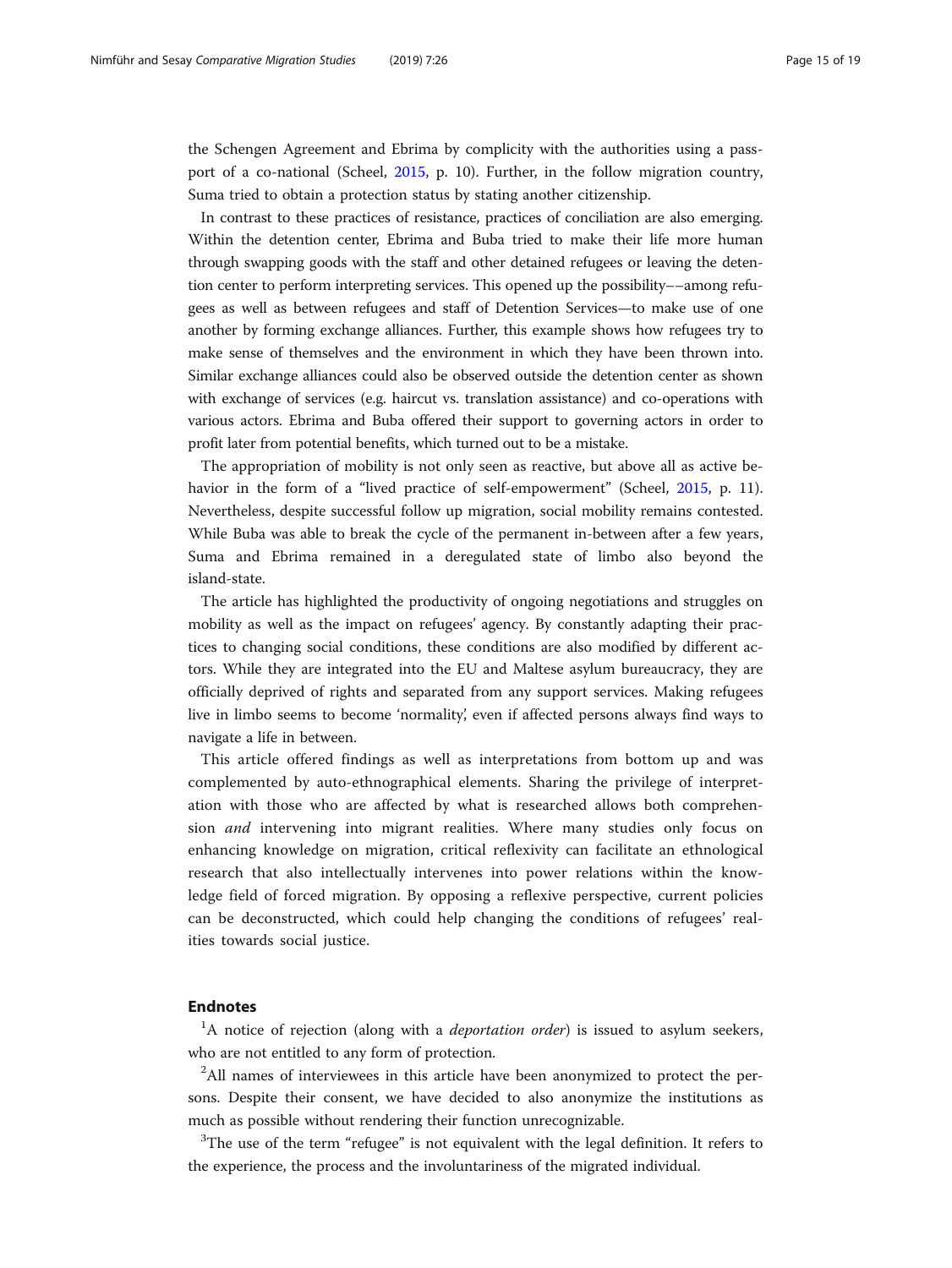the Schengen Agreement and Ebrima by complicity with the authorities using a passport of a co-national (Scheel, [2015](#page-18-0), p. 10). Further, in the follow migration country, Suma tried to obtain a protection status by stating another citizenship.

In contrast to these practices of resistance, practices of conciliation are also emerging. Within the detention center, Ebrima and Buba tried to make their life more human through swapping goods with the staff and other detained refugees or leaving the detention center to perform interpreting services. This opened up the possibility––among refugees as well as between refugees and staff of Detention Services—to make use of one another by forming exchange alliances. Further, this example shows how refugees try to make sense of themselves and the environment in which they have been thrown into. Similar exchange alliances could also be observed outside the detention center as shown with exchange of services (e.g. haircut vs. translation assistance) and co-operations with various actors. Ebrima and Buba offered their support to governing actors in order to profit later from potential benefits, which turned out to be a mistake.

The appropriation of mobility is not only seen as reactive, but above all as active behavior in the form of a "lived practice of self-empowerment" (Scheel, [2015](#page-18-0), p. 11). Nevertheless, despite successful follow up migration, social mobility remains contested. While Buba was able to break the cycle of the permanent in-between after a few years, Suma and Ebrima remained in a deregulated state of limbo also beyond the island-state.

The article has highlighted the productivity of ongoing negotiations and struggles on mobility as well as the impact on refugees' agency. By constantly adapting their practices to changing social conditions, these conditions are also modified by different actors. While they are integrated into the EU and Maltese asylum bureaucracy, they are officially deprived of rights and separated from any support services. Making refugees live in limbo seems to become 'normality', even if affected persons always find ways to navigate a life in between.

This article offered findings as well as interpretations from bottom up and was complemented by auto-ethnographical elements. Sharing the privilege of interpretation with those who are affected by what is researched allows both comprehension and intervening into migrant realities. Where many studies only focus on enhancing knowledge on migration, critical reflexivity can facilitate an ethnological research that also intellectually intervenes into power relations within the knowledge field of forced migration. By opposing a reflexive perspective, current policies can be deconstructed, which could help changing the conditions of refugees' realities towards social justice.

# Endnotes

<sup>1</sup>A notice of rejection (along with a *deportation order*) is issued to asylum seekers, who are not entitled to any form of protection.

<sup>2</sup>All names of interviewees in this article have been anonymized to protect the persons. Despite their consent, we have decided to also anonymize the institutions as much as possible without rendering their function unrecognizable.

 $3$ The use of the term "refugee" is not equivalent with the legal definition. It refers to the experience, the process and the involuntariness of the migrated individual.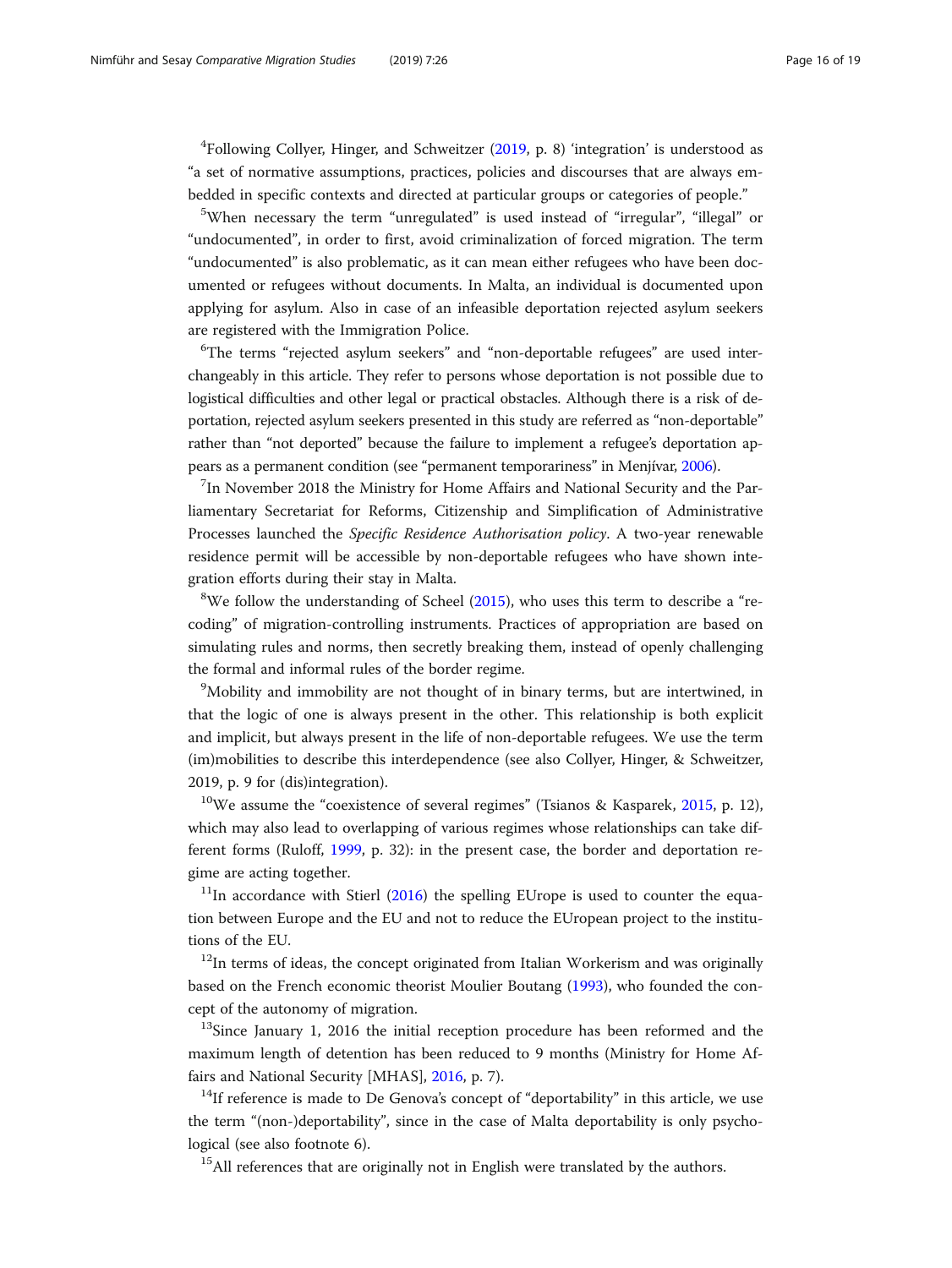<sup>4</sup>Following Collyer, Hinger, and Schweitzer ([2019](#page-17-0), p. 8) 'integration' is understood as "a set of normative assumptions, practices, policies and discourses that are always embedded in specific contexts and directed at particular groups or categories of people."

<sup>5</sup>When necessary the term "unregulated" is used instead of "irregular", "illegal" or "undocumented", in order to first, avoid criminalization of forced migration. The term "undocumented" is also problematic, as it can mean either refugees who have been documented or refugees without documents. In Malta, an individual is documented upon applying for asylum. Also in case of an infeasible deportation rejected asylum seekers are registered with the Immigration Police.

<sup>6</sup>The terms "rejected asylum seekers" and "non-deportable refugees" are used interchangeably in this article. They refer to persons whose deportation is not possible due to logistical difficulties and other legal or practical obstacles. Although there is a risk of deportation, rejected asylum seekers presented in this study are referred as "non-deportable" rather than "not deported" because the failure to implement a refugee's deportation appears as a permanent condition (see "permanent temporariness" in Menjívar, [2006\)](#page-18-0).

<sup>7</sup>In November 2018 the Ministry for Home Affairs and National Security and the Parliamentary Secretariat for Reforms, Citizenship and Simplification of Administrative Processes launched the Specific Residence Authorisation policy. A two-year renewable residence permit will be accessible by non-deportable refugees who have shown integration efforts during their stay in Malta.

 $8$ We follow the understanding of Scheel ([2015](#page-18-0)), who uses this term to describe a "recoding" of migration-controlling instruments. Practices of appropriation are based on simulating rules and norms, then secretly breaking them, instead of openly challenging the formal and informal rules of the border regime.

<sup>9</sup>Mobility and immobility are not thought of in binary terms, but are intertwined, in that the logic of one is always present in the other. This relationship is both explicit and implicit, but always present in the life of non-deportable refugees. We use the term (im)mobilities to describe this interdependence (see also Collyer, Hinger, & Schweitzer, 2019, p. 9 for (dis)integration).

 $10$ We assume the "coexistence of several regimes" (Tsianos & Kasparek, [2015](#page-18-0), p. 12), which may also lead to overlapping of various regimes whose relationships can take different forms (Ruloff, [1999](#page-18-0), p. 32): in the present case, the border and deportation regime are acting together.

 $11$ In accordance with Stierl [\(2016\)](#page-18-0) the spelling EUrope is used to counter the equation between Europe and the EU and not to reduce the EUropean project to the institutions of the EU.

 $12$ In terms of ideas, the concept originated from Italian Workerism and was originally based on the French economic theorist Moulier Boutang ([1993\)](#page-18-0), who founded the concept of the autonomy of migration.

<sup>13</sup>Since January 1, 2016 the initial reception procedure has been reformed and the maximum length of detention has been reduced to 9 months (Ministry for Home Affairs and National Security [MHAS], [2016,](#page-18-0) p. 7).

 $14$ If reference is made to De Genova's concept of "deportability" in this article, we use the term "(non-)deportability", since in the case of Malta deportability is only psychological (see also footnote 6).

 $15$ All references that are originally not in English were translated by the authors.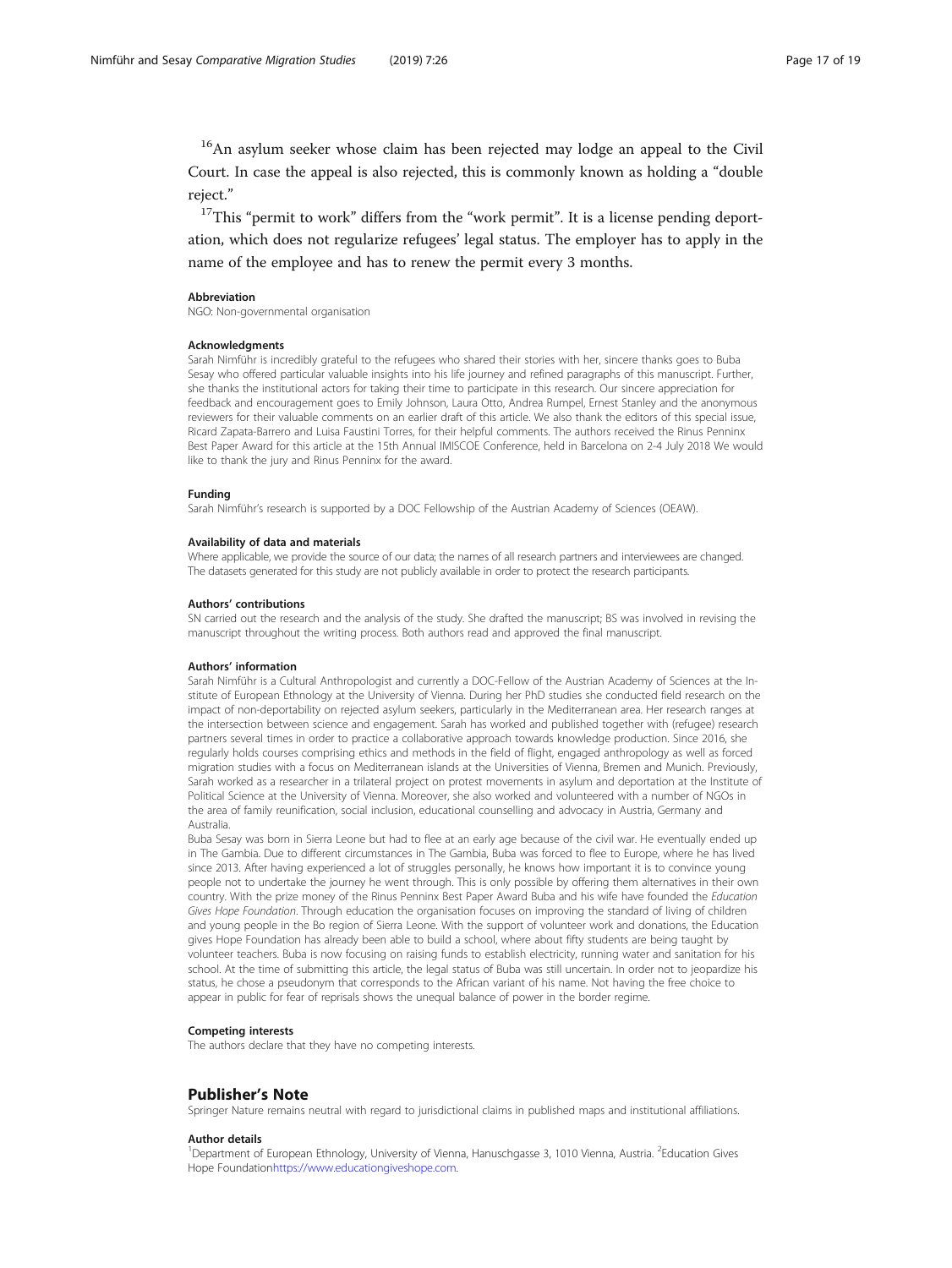<sup>16</sup>An asylum seeker whose claim has been rejected may lodge an appeal to the Civil Court. In case the appeal is also rejected, this is commonly known as holding a "double reject."

<sup>17</sup>This "permit to work" differs from the "work permit". It is a license pending deportation, which does not regularize refugees' legal status. The employer has to apply in the name of the employee and has to renew the permit every 3 months.

#### Abbreviation

NGO: Non-governmental organisation

## Acknowledgments

Sarah Nimführ is incredibly grateful to the refugees who shared their stories with her, sincere thanks goes to Buba Sesay who offered particular valuable insights into his life journey and refined paragraphs of this manuscript. Further, she thanks the institutional actors for taking their time to participate in this research. Our sincere appreciation for feedback and encouragement goes to Emily Johnson, Laura Otto, Andrea Rumpel, Ernest Stanley and the anonymous reviewers for their valuable comments on an earlier draft of this article. We also thank the editors of this special issue, Ricard Zapata-Barrero and Luisa Faustini Torres, for their helpful comments. The authors received the Rinus Penninx Best Paper Award for this article at the 15th Annual IMISCOE Conference, held in Barcelona on 2-4 July 2018 We would like to thank the jury and Rinus Penninx for the award.

### Funding

Sarah Nimführ's research is supported by a DOC Fellowship of the Austrian Academy of Sciences (OEAW).

## Availability of data and materials

Where applicable, we provide the source of our data; the names of all research partners and interviewees are changed. The datasets generated for this study are not publicly available in order to protect the research participants.

#### Authors' contributions

SN carried out the research and the analysis of the study. She drafted the manuscript; BS was involved in revising the manuscript throughout the writing process. Both authors read and approved the final manuscript.

#### Authors' information

Sarah Nimführ is a Cultural Anthropologist and currently a DOC-Fellow of the Austrian Academy of Sciences at the Institute of European Ethnology at the University of Vienna. During her PhD studies she conducted field research on the impact of non-deportability on rejected asylum seekers, particularly in the Mediterranean area. Her research ranges at the intersection between science and engagement. Sarah has worked and published together with (refugee) research partners several times in order to practice a collaborative approach towards knowledge production. Since 2016, she regularly holds courses comprising ethics and methods in the field of flight, engaged anthropology as well as forced migration studies with a focus on Mediterranean islands at the Universities of Vienna, Bremen and Munich. Previously, Sarah worked as a researcher in a trilateral project on protest movements in asylum and deportation at the Institute of Political Science at the University of Vienna. Moreover, she also worked and volunteered with a number of NGOs in the area of family reunification, social inclusion, educational counselling and advocacy in Austria, Germany and Australia.

Buba Sesay was born in Sierra Leone but had to flee at an early age because of the civil war. He eventually ended up in The Gambia. Due to different circumstances in The Gambia, Buba was forced to flee to Europe, where he has lived since 2013. After having experienced a lot of struggles personally, he knows how important it is to convince young people not to undertake the journey he went through. This is only possible by offering them alternatives in their own country. With the prize money of the Rinus Penninx Best Paper Award Buba and his wife have founded the Education Gives Hope Foundation. Through education the organisation focuses on improving the standard of living of children and young people in the Bo region of Sierra Leone. With the support of volunteer work and donations, the Education gives Hope Foundation has already been able to build a school, where about fifty students are being taught by volunteer teachers. Buba is now focusing on raising funds to establish electricity, running water and sanitation for his school. At the time of submitting this article, the legal status of Buba was still uncertain. In order not to jeopardize his status, he chose a pseudonym that corresponds to the African variant of his name. Not having the free choice to appear in public for fear of reprisals shows the unequal balance of power in the border regime.

# Competing interests

The authors declare that they have no competing interests.

# Publisher's Note

Springer Nature remains neutral with regard to jurisdictional claims in published maps and institutional affiliations.

# Author details

<sup>1</sup>Department of European Ethnology, University of Vienna, Hanuschgasse 3, 1010 Vienna, Austria. <sup>2</sup>Education Gives Hope Foundationhttps://www.educationgiveshope.com.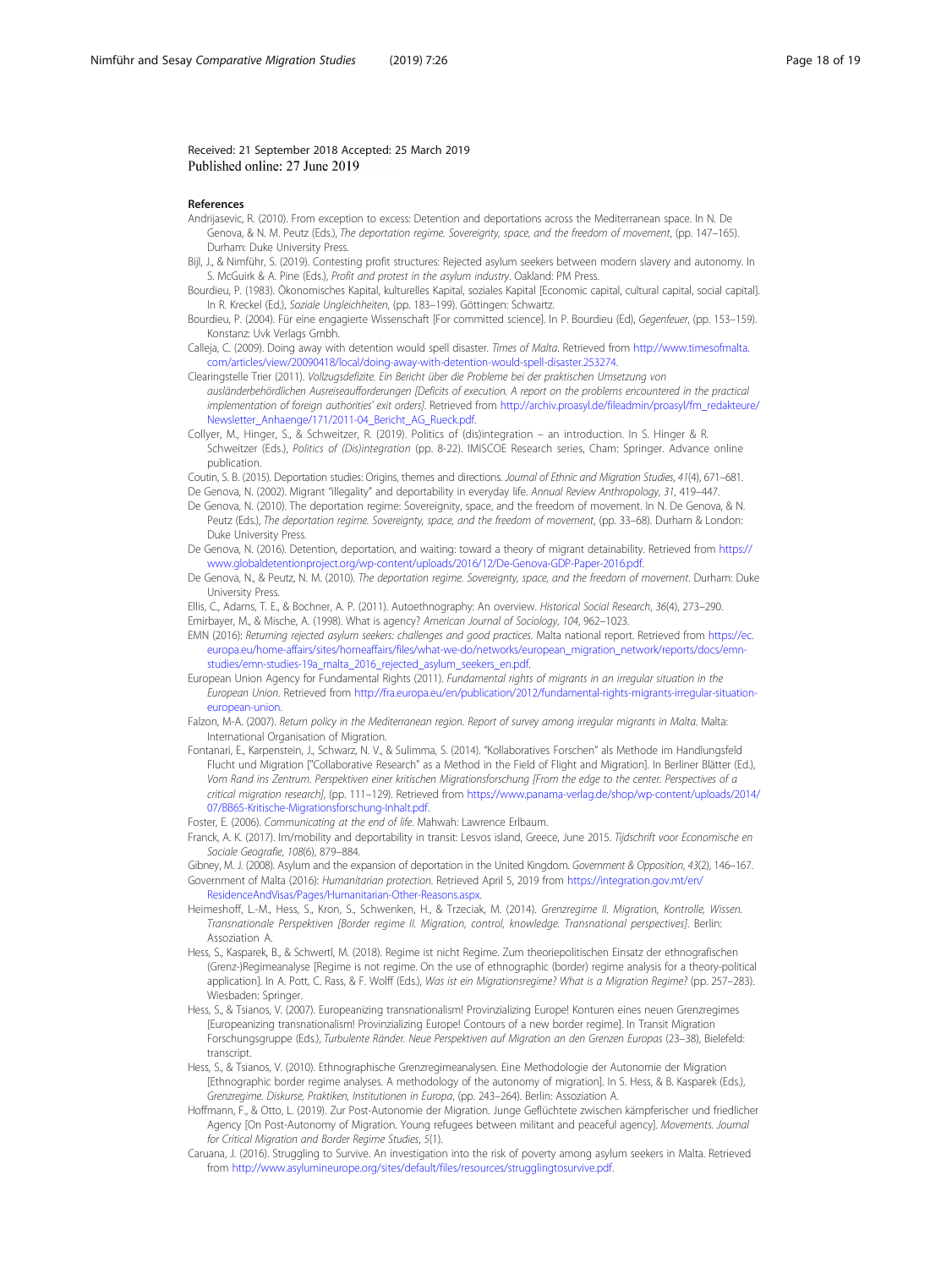# <span id="page-17-0"></span>Received: 21 September 2018 Accepted: 25 March 2019 Published online: 27 June 2019

#### References

- Andrijasevic, R. (2010). From exception to excess: Detention and deportations across the Mediterranean space. In N. De Genova, & N. M. Peutz (Eds.), The deportation regime. Sovereignty, space, and the freedom of movement, (pp. 147–165). Durham: Duke University Press.
- Bijl, J., & Nimführ, S. (2019). Contesting profit structures: Rejected asylum seekers between modern slavery and autonomy. In S. McGuirk & A. Pine (Eds.), Profit and protest in the asylum industry. Oakland: PM Press.
- Bourdieu, P. (1983). Ökonomisches Kapital, kulturelles Kapital, soziales Kapital [Economic capital, cultural capital, social capital]. In R. Kreckel (Ed.), Soziale Ungleichheiten, (pp. 183–199). Göttingen: Schwartz.
- Bourdieu, P. (2004). Für eine engagierte Wissenschaft [For committed science]. In P. Bourdieu (Ed), Gegenfeuer, (pp. 153–159). Konstanz: Uvk Verlags Gmbh.
- Calleja, C. (2009). Doing away with detention would spell disaster. Times of Malta. Retrieved from [http://www.timesofmalta.](http://www.timesofmalta.com/articles/view/20090418/local/doing-away-with-detention-would-spell-disaster.253274) [com/articles/view/20090418/local/doing-away-with-detention-would-spell-disaster.253274.](http://www.timesofmalta.com/articles/view/20090418/local/doing-away-with-detention-would-spell-disaster.253274)
- Clearingstelle Trier (2011). Vollzugsdefizite. Ein Bericht über die Probleme bei der praktischen Umsetzung von ausländerbehördlichen Ausreiseaufforderungen [Deficits of execution. A report on the problems encountered in the practical implementation of foreign authorities' exit orders]. Retrieved from [http://archiv.proasyl.de/fileadmin/proasyl/fm\\_redakteure/](http://archiv.proasyl.de/fileadmin/proasyl/fm_redakteure/Newsletter_Anhaenge/171/2011-04_Bericht_AG_Rueck.pdf) [Newsletter\\_Anhaenge/171/2011-04\\_Bericht\\_AG\\_Rueck.pdf.](http://archiv.proasyl.de/fileadmin/proasyl/fm_redakteure/Newsletter_Anhaenge/171/2011-04_Bericht_AG_Rueck.pdf)
- Collyer, M., Hinger, S., & Schweitzer, R. (2019). Politics of (dis)integration an introduction. In S. Hinger & R. Schweitzer (Eds.), Politics of (Dis)integration (pp. 8-22). IMISCOE Research series, Cham: Springer. Advance online publication.
- Coutin, S. B. (2015). Deportation studies: Origins, themes and directions. Journal of Ethnic and Migration Studies, 41(4), 671–681. De Genova, N. (2002). Migrant "illegality" and deportability in everyday life. Annual Review Anthropology, 31, 419–447.
- De Genova, N. (2010). The deportation regime: Sovereignity, space, and the freedom of movement. In N. De Genova, & N. Peutz (Eds.), The deportation regime. Sovereignty, space, and the freedom of movement, (pp. 33–68). Durham & London: Duke University Press.
- De Genova, N. (2016). Detention, deportation, and waiting: toward a theory of migrant detainability. Retrieved from [https://](https://www.globaldetentionproject.org/wp-content/uploads/2016/12/De-Genova-GDP-Paper-2016.pdf) [www.globaldetentionproject.org/wp-content/uploads/2016/12/De-Genova-GDP-Paper-2016.pdf](https://www.globaldetentionproject.org/wp-content/uploads/2016/12/De-Genova-GDP-Paper-2016.pdf).
- De Genova, N., & Peutz, N. M. (2010). The deportation regime. Sovereignty, space, and the freedom of movement. Durham: Duke University Press.
- Ellis, C., Adams, T. E., & Bochner, A. P. (2011). Autoethnography: An overview. Historical Social Research, 36(4), 273–290. Emirbayer, M., & Mische, A. (1998). What is agency? American Journal of Sociology, 104, 962–1023.
- EMN (2016): Returning rejected asylum seekers: challenges and good practices. Malta national report. Retrieved from [https://ec.](https://ec.europa.eu/home-affairs/sites/homeaffairs/files/what-we-do/networks/european_migration_network/reports/docs/emn-studies/emn-studies-19a_malta_2016_rejected_asylum_seekers_en.pdf) [europa.eu/home-affairs/sites/homeaffairs/files/what-we-do/networks/european\\_migration\\_network/reports/docs/emn](https://ec.europa.eu/home-affairs/sites/homeaffairs/files/what-we-do/networks/european_migration_network/reports/docs/emn-studies/emn-studies-19a_malta_2016_rejected_asylum_seekers_en.pdf)[studies/emn-studies-19a\\_malta\\_2016\\_rejected\\_asylum\\_seekers\\_en.pdf.](https://ec.europa.eu/home-affairs/sites/homeaffairs/files/what-we-do/networks/european_migration_network/reports/docs/emn-studies/emn-studies-19a_malta_2016_rejected_asylum_seekers_en.pdf)
- European Union Agency for Fundamental Rights (2011). Fundamental rights of migrants in an irregular situation in the European Union. Retrieved from [http://fra.europa.eu/en/publication/2012/fundamental-rights-migrants-irregular-situation](http://fra.europa.eu/en/publication/2012/fundamental-rights-migrants-irregular-situation-european-union)[european-union](http://fra.europa.eu/en/publication/2012/fundamental-rights-migrants-irregular-situation-european-union).
- Falzon, M-A. (2007). Return policy in the Mediterranean region. Report of survey among irregular migrants in Malta. Malta: International Organisation of Migration.
- Fontanari, E., Karpenstein, J., Schwarz, N. V., & Sulimma, S. (2014). "Kollaboratives Forschen" als Methode im Handlungsfeld Flucht und Migration ["Collaborative Research" as a Method in the Field of Flight and Migration]. In Berliner Blätter (Ed.), Vom Rand ins Zentrum. Perspektiven einer kritischen Migrationsforschung [From the edge to the center. Perspectives of a critical migration research], (pp. 111–129). Retrieved from [https://www.panama-verlag.de/shop/wp-content/uploads/2014/](https://www.panama-verlag.de/shop/wp-content/uploads/2014/07/BB65-Kritische-Migrationsforschung-Inhalt.pdf) [07/BB65-Kritische-Migrationsforschung-Inhalt.pdf.](https://www.panama-verlag.de/shop/wp-content/uploads/2014/07/BB65-Kritische-Migrationsforschung-Inhalt.pdf)
- Foster, E. (2006). Communicating at the end of life. Mahwah: Lawrence Erlbaum.
- Franck, A. K. (2017). Im/mobility and deportability in transit: Lesvos island, Greece, June 2015. Tijdschrift voor Economische en Sociale Geografie, 108(6), 879–884.
- Gibney, M. J. (2008). Asylum and the expansion of deportation in the United Kingdom. Government & Opposition, 43(2), 146–167. Government of Malta (2016): Humanitarian protection. Retrieved April 5, 2019 from [https://integration.gov.mt/en/](https://integration.gov.mt/en/ResidenceAndVisas/Pages/Humanitarian-Other-Reasons.aspx)
- [ResidenceAndVisas/Pages/Humanitarian-Other-Reasons.aspx](https://integration.gov.mt/en/ResidenceAndVisas/Pages/Humanitarian-Other-Reasons.aspx).
- Heimeshoff, L.-M., Hess, S., Kron, S., Schwenken, H., & Trzeciak, M. (2014). Grenzregime II. Migration, Kontrolle, Wissen. Transnationale Perspektiven [Border regime II. Migration, control, knowledge. Transnational perspectives]. Berlin: Assoziation A.
- Hess, S., Kasparek, B., & Schwertl, M. (2018). Regime ist nicht Regime. Zum theoriepolitischen Einsatz der ethnografischen (Grenz-)Regimeanalyse [Regime is not regime. On the use of ethnographic (border) regime analysis for a theory-political application]. In A. Pott, C. Rass, & F. Wolff (Eds.), Was ist ein Migrationsregime? What is a Migration Regime? (pp. 257–283). Wiesbaden: Springer.
- Hess, S., & Tsianos, V. (2007). Europeanizing transnationalism! Provinzializing Europe! Konturen eines neuen Grenzregimes [Europeanizing transnationalism! Provinzializing Europe! Contours of a new border regime]. In Transit Migration Forschungsgruppe (Eds.), Turbulente Ränder. Neue Perspektiven auf Migration an den Grenzen Europas (23–38), Bielefeld: transcript.
- Hess, S., & Tsianos, V. (2010). Ethnographische Grenzregimeanalysen. Eine Methodologie der Autonomie der Migration [Ethnographic border regime analyses. A methodology of the autonomy of migration]. In S. Hess, & B. Kasparek (Eds.), Grenzregime. Diskurse, Praktiken, Institutionen in Europa, (pp. 243–264). Berlin: Assoziation A.
- Hoffmann, F., & Otto, L. (2019). Zur Post-Autonomie der Migration. Junge Geflüchtete zwischen kämpferischer und friedlicher Agency [On Post-Autonomy of Migration. Young refugees between militant and peaceful agency]. Movements. Journal for Critical Migration and Border Regime Studies, 5(1).
- Caruana, J. (2016). Struggling to Survive. An investigation into the risk of poverty among asylum seekers in Malta. Retrieved from <http://www.asylumineurope.org/sites/default/files/resources/strugglingtosurvive.pdf>.